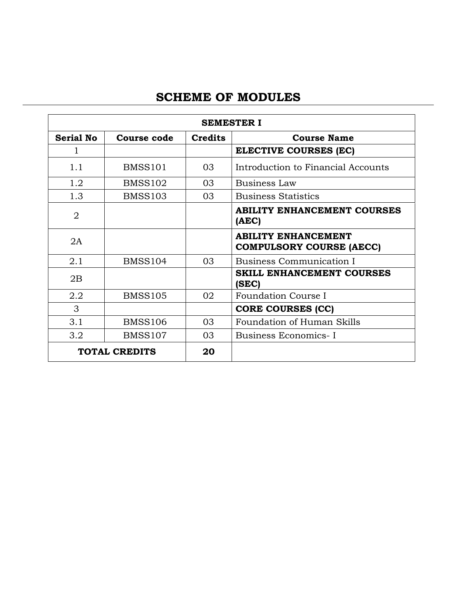# **SCHEME OF MODULES**

|                      | <b>SEMESTER I</b>  |                |                                                               |  |
|----------------------|--------------------|----------------|---------------------------------------------------------------|--|
| <b>Serial No</b>     | <b>Course code</b> | <b>Credits</b> | <b>Course Name</b>                                            |  |
|                      |                    |                | <b>ELECTIVE COURSES (EC)</b>                                  |  |
| 1.1                  | BMSS101            | 03             | Introduction to Financial Accounts                            |  |
| 1.2                  | <b>BMSS102</b>     | 03             | Business Law                                                  |  |
| 1.3                  | <b>BMSS103</b>     | 03             | <b>Business Statistics</b>                                    |  |
| $\overline{2}$       |                    |                | <b>ABILITY ENHANCEMENT COURSES</b><br>(AEC)                   |  |
| 2A                   |                    |                | <b>ABILITY ENHANCEMENT</b><br><b>COMPULSORY COURSE (AECC)</b> |  |
| 2.1                  | <b>BMSS104</b>     | 03             | Business Communication I                                      |  |
| 2B                   |                    |                | <b>SKILL ENHANCEMENT COURSES</b><br>(SEC)                     |  |
| 2.2                  | <b>BMSS105</b>     | 02             | Foundation Course I                                           |  |
| 3                    |                    |                | <b>CORE COURSES (CC)</b>                                      |  |
| 3.1                  | <b>BMSS106</b>     | 03             | Foundation of Human Skills                                    |  |
| 3.2                  | <b>BMSS107</b>     | 03             | Business Economics-I                                          |  |
| <b>TOTAL CREDITS</b> |                    | 20             |                                                               |  |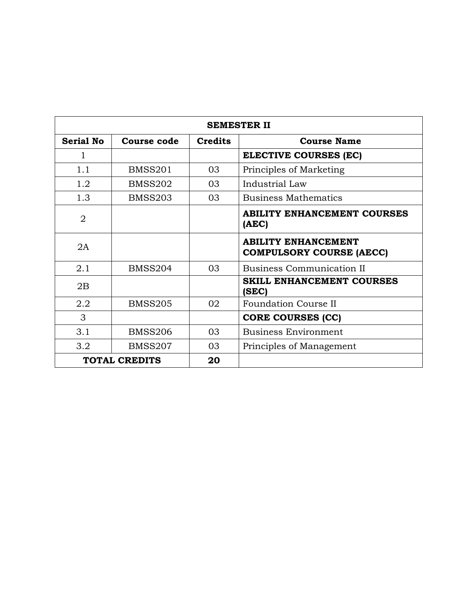| <b>SEMESTER II</b> |                      |                |                                                               |  |
|--------------------|----------------------|----------------|---------------------------------------------------------------|--|
| <b>Serial No</b>   | <b>Course code</b>   | <b>Credits</b> | <b>Course Name</b>                                            |  |
| 1                  |                      |                | ELECTIVE COURSES (EC)                                         |  |
| 1.1                | <b>BMSS201</b>       | 03             | Principles of Marketing                                       |  |
| 1.2                | <b>BMSS202</b>       | 03             | Industrial Law                                                |  |
| 1.3                | <b>BMSS203</b>       | 03             | <b>Business Mathematics</b>                                   |  |
| $\overline{2}$     |                      |                | <b>ABILITY ENHANCEMENT COURSES</b><br>(AEC)                   |  |
| 2A                 |                      |                | <b>ABILITY ENHANCEMENT</b><br><b>COMPULSORY COURSE (AECC)</b> |  |
| 2.1                | <b>BMSS204</b>       | 03             | <b>Business Communication II</b>                              |  |
| 2B                 |                      |                | <b>SKILL ENHANCEMENT COURSES</b><br>(SEC)                     |  |
| 2.2                | <b>BMSS205</b>       | 02             | <b>Foundation Course II</b>                                   |  |
| 3                  |                      |                | <b>CORE COURSES (CC)</b>                                      |  |
| 3.1                | <b>BMSS206</b>       | 03             | <b>Business Environment</b>                                   |  |
| 3.2                | <b>BMSS207</b>       | 03             | Principles of Management                                      |  |
|                    | <b>TOTAL CREDITS</b> | 20             |                                                               |  |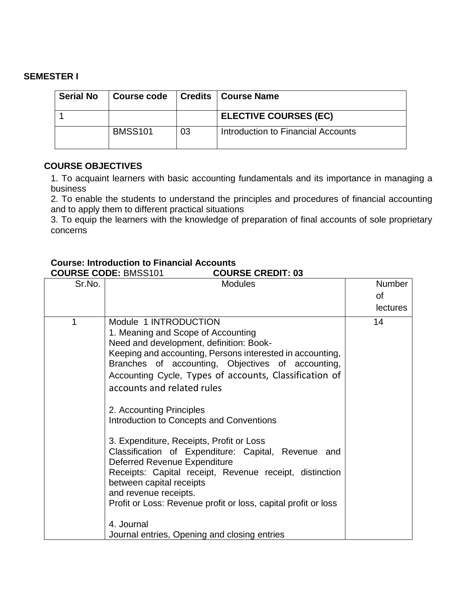### **SEMESTER I**

| <b>Serial No</b> | <b>Course code</b> |    | Credits   Course Name              |
|------------------|--------------------|----|------------------------------------|
|                  |                    |    | <b>ELECTIVE COURSES (EC)</b>       |
|                  | <b>BMSS101</b>     | 03 | Introduction to Financial Accounts |

### **COURSE OBJECTIVES**

1. To acquaint learners with basic accounting fundamentals and its importance in managing a business

2. To enable the students to understand the principles and procedures of financial accounting and to apply them to different practical situations

3. To equip the learners with the knowledge of preparation of final accounts of sole proprietary concerns

### **Course: Introduction to Financial Accounts**

**COURSE CODE:** BMSS101 **COURSE CREDIT: 03**

| Sr.No. | <b>Modules</b>                                                                                                                                                                                                                                                                                                                                                                                                                                                                                                                                                                                                                                                                                                                                                              | <b>Number</b><br>οf<br><b>lectures</b> |
|--------|-----------------------------------------------------------------------------------------------------------------------------------------------------------------------------------------------------------------------------------------------------------------------------------------------------------------------------------------------------------------------------------------------------------------------------------------------------------------------------------------------------------------------------------------------------------------------------------------------------------------------------------------------------------------------------------------------------------------------------------------------------------------------------|----------------------------------------|
| 1      | Module 1 INTRODUCTION<br>1. Meaning and Scope of Accounting<br>Need and development, definition: Book-<br>Keeping and accounting, Persons interested in accounting,<br>Branches of accounting, Objectives of accounting,<br>Accounting Cycle, Types of accounts, Classification of<br>accounts and related rules<br>2. Accounting Principles<br>Introduction to Concepts and Conventions<br>3. Expenditure, Receipts, Profit or Loss<br>Classification of Expenditure: Capital, Revenue and<br>Deferred Revenue Expenditure<br>Receipts: Capital receipt, Revenue receipt, distinction<br>between capital receipts<br>and revenue receipts.<br>Profit or Loss: Revenue profit or loss, capital profit or loss<br>4. Journal<br>Journal entries, Opening and closing entries | 14                                     |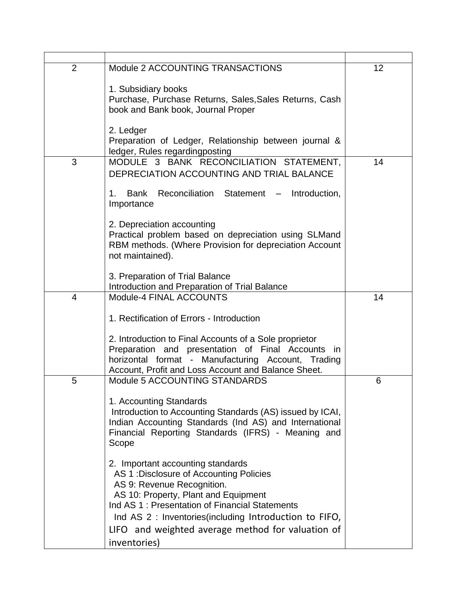| $\overline{2}$ | Module 2 ACCOUNTING TRANSACTIONS                                                                                    | 12 |
|----------------|---------------------------------------------------------------------------------------------------------------------|----|
|                | 1. Subsidiary books<br>Purchase, Purchase Returns, Sales, Sales Returns, Cash                                       |    |
|                | book and Bank book, Journal Proper                                                                                  |    |
|                | 2. Ledger                                                                                                           |    |
|                | Preparation of Ledger, Relationship between journal &<br>ledger, Rules regardingposting                             |    |
| 3              | MODULE 3 BANK RECONCILIATION STATEMENT,<br>DEPRECIATION ACCOUNTING AND TRIAL BALANCE                                | 14 |
|                | Reconciliation Statement<br>Bank<br>Introduction,<br>$1_{\cdot}$<br>Importance                                      |    |
|                | 2. Depreciation accounting<br>Practical problem based on depreciation using SLMand                                  |    |
|                | RBM methods. (Where Provision for depreciation Account<br>not maintained).                                          |    |
|                | 3. Preparation of Trial Balance<br>Introduction and Preparation of Trial Balance                                    |    |
| $\overline{4}$ | Module-4 FINAL ACCOUNTS                                                                                             | 14 |
|                | 1. Rectification of Errors - Introduction                                                                           |    |
|                | 2. Introduction to Final Accounts of a Sole proprietor                                                              |    |
|                | Preparation and presentation of Final Accounts in<br>horizontal format - Manufacturing Account, Trading             |    |
| 5              | Account, Profit and Loss Account and Balance Sheet.<br>Module 5 ACCOUNTING STANDARDS                                | 6  |
|                | 1. Accounting Standards                                                                                             |    |
|                | Introduction to Accounting Standards (AS) issued by ICAI,<br>Indian Accounting Standards (Ind AS) and International |    |
|                | Financial Reporting Standards (IFRS) - Meaning and<br>Scope                                                         |    |
|                | 2. Important accounting standards<br>AS 1: Disclosure of Accounting Policies                                        |    |
|                | AS 9: Revenue Recognition.<br>AS 10: Property, Plant and Equipment                                                  |    |
|                | Ind AS 1: Presentation of Financial Statements<br>Ind AS 2 : Inventories (including Introduction to FIFO,           |    |
|                | LIFO and weighted average method for valuation of                                                                   |    |
|                | inventories)                                                                                                        |    |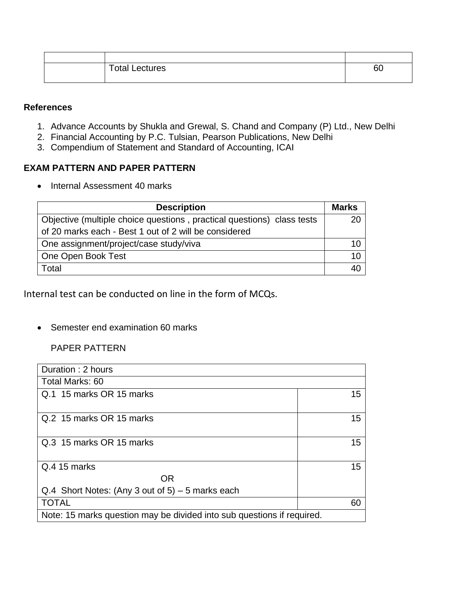| <b>Total Lectures</b> | 60 |
|-----------------------|----|
|                       |    |

### **References**

- 1. Advance Accounts by Shukla and Grewal, S. Chand and Company (P) Ltd., New Delhi
- 2. Financial Accounting by P.C. Tulsian, Pearson Publications, New Delhi
- 3. Compendium of Statement and Standard of Accounting, ICAI

### **EXAM PATTERN AND PAPER PATTERN**

• Internal Assessment 40 marks

| <b>Description</b>                                                     | <b>Marks</b> |
|------------------------------------------------------------------------|--------------|
| Objective (multiple choice questions, practical questions) class tests | 20           |
| of 20 marks each - Best 1 out of 2 will be considered                  |              |
| One assignment/project/case study/viva                                 |              |
| One Open Book Test                                                     | 10           |
| Total                                                                  | 40           |

Internal test can be conducted on line in the form of MCQs.

• Semester end examination 60 marks

### PAPER PATTERN

| Duration: 2 hours                                                      |    |  |
|------------------------------------------------------------------------|----|--|
| Total Marks: 60                                                        |    |  |
| Q.1 15 marks OR 15 marks                                               | 15 |  |
| Q.2 15 marks OR 15 marks                                               | 15 |  |
| Q.3 15 marks OR 15 marks                                               | 15 |  |
| Q.4 15 marks                                                           | 15 |  |
| OR.                                                                    |    |  |
| Q.4 Short Notes: (Any 3 out of $5$ ) – 5 marks each                    |    |  |
| <b>TOTAL</b>                                                           | 60 |  |
| Note: 15 marks question may be divided into sub questions if required. |    |  |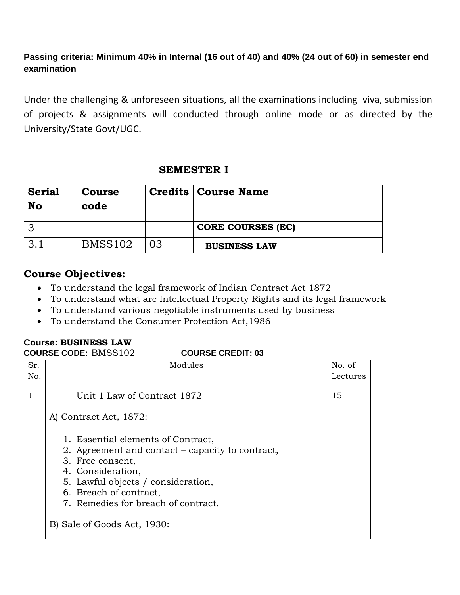### **Passing criteria: Minimum 40% in Internal (16 out of 40) and 40% (24 out of 60) in semester end examination**

Under the challenging & unforeseen situations, all the examinations including viva, submission of projects & assignments will conducted through online mode or as directed by the University/State Govt/UGC.

### **SEMESTER I**

| <b>Serial</b><br>No | <b>Course</b><br>code |    | <b>Credits   Course Name</b> |
|---------------------|-----------------------|----|------------------------------|
|                     |                       |    | <b>CORE COURSES (EC)</b>     |
|                     | <b>BMSS102</b>        | 03 | <b>BUSINESS LAW</b>          |

# **Course Objectives:**

- To understand the legal framework of Indian Contract Act 1872
- To understand what are Intellectual Property Rights and its legal framework
- To understand various negotiable instruments used by business
- To understand the Consumer Protection Act,1986

### **Course: BUSINESS LAW**

### **COURSE CODE:** BMSS102 **COURSE CREDIT: 03**

| Sr.          | Modules                                          | No. of   |
|--------------|--------------------------------------------------|----------|
| No.          |                                                  | Lectures |
|              |                                                  |          |
| $\mathbf{1}$ | Unit 1 Law of Contract 1872                      | 15       |
|              |                                                  |          |
|              | A) Contract Act, 1872:                           |          |
|              |                                                  |          |
|              | 1. Essential elements of Contract,               |          |
|              | 2. Agreement and contact – capacity to contract, |          |
|              | 3. Free consent,                                 |          |
|              | 4. Consideration,                                |          |
|              | 5. Lawful objects / consideration,               |          |
|              | 6. Breach of contract,                           |          |
|              | 7. Remedies for breach of contract.              |          |
|              |                                                  |          |
|              | B) Sale of Goods Act, 1930:                      |          |
|              |                                                  |          |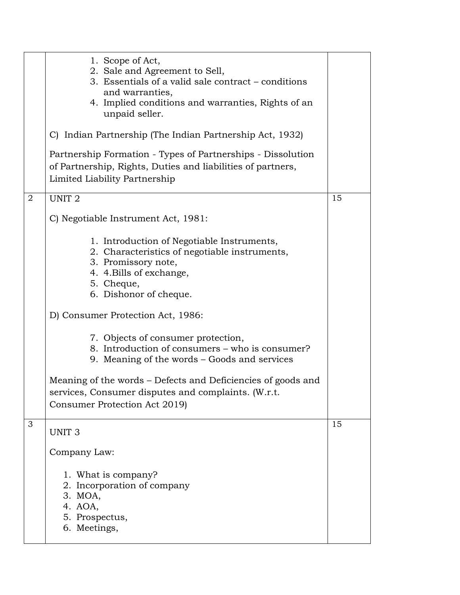|                | 1. Scope of Act,<br>2. Sale and Agreement to Sell,<br>3. Essentials of a valid sale contract - conditions<br>and warranties,<br>4. Implied conditions and warranties, Rights of an<br>unpaid seller. |    |
|----------------|------------------------------------------------------------------------------------------------------------------------------------------------------------------------------------------------------|----|
|                | C) Indian Partnership (The Indian Partnership Act, 1932)                                                                                                                                             |    |
|                | Partnership Formation - Types of Partnerships - Dissolution<br>of Partnership, Rights, Duties and liabilities of partners,<br>Limited Liability Partnership                                          |    |
| $\overline{2}$ | UNIT <sub>2</sub>                                                                                                                                                                                    | 15 |
|                | C) Negotiable Instrument Act, 1981:                                                                                                                                                                  |    |
|                | 1. Introduction of Negotiable Instruments,<br>2. Characteristics of negotiable instruments,<br>3. Promissory note,<br>4. 4. Bills of exchange,<br>5. Cheque,<br>6. Dishonor of cheque.               |    |
|                | D) Consumer Protection Act, 1986:                                                                                                                                                                    |    |
|                | 7. Objects of consumer protection,<br>8. Introduction of consumers – who is consumer?<br>9. Meaning of the words – Goods and services                                                                |    |
|                | Meaning of the words – Defects and Deficiencies of goods and<br>services, Consumer disputes and complaints. (W.r.t.<br>Consumer Protection Act 2019)                                                 |    |
| 3              | UNIT <sub>3</sub>                                                                                                                                                                                    | 15 |
|                | Company Law:                                                                                                                                                                                         |    |
|                | 1. What is company?<br>2. Incorporation of company<br>3. MOA,<br>4. AOA,<br>5. Prospectus,<br>6. Meetings,                                                                                           |    |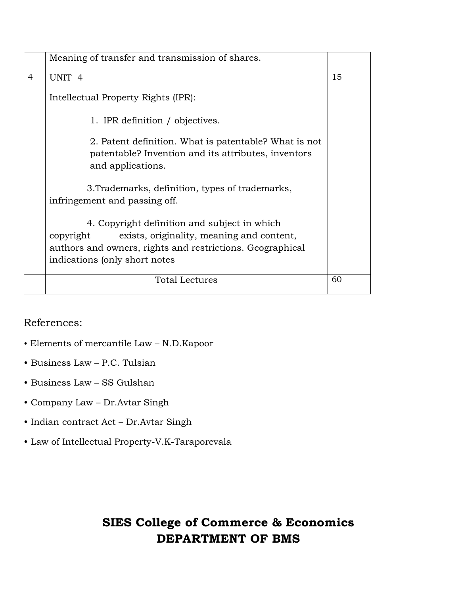|                | Meaning of transfer and transmission of shares.                                                                                                                                                       |    |
|----------------|-------------------------------------------------------------------------------------------------------------------------------------------------------------------------------------------------------|----|
| $\overline{4}$ | UNIT <sub>4</sub>                                                                                                                                                                                     | 15 |
|                | Intellectual Property Rights (IPR):                                                                                                                                                                   |    |
|                | 1. IPR definition / objectives.                                                                                                                                                                       |    |
|                | 2. Patent definition. What is patentable? What is not<br>patentable? Invention and its attributes, inventors<br>and applications.                                                                     |    |
|                | 3. Trademarks, definition, types of trademarks,<br>infringement and passing off.                                                                                                                      |    |
|                | 4. Copyright definition and subject in which<br>exists, originality, meaning and content,<br>copyright<br>authors and owners, rights and restrictions. Geographical<br>indications (only short notes) |    |
|                | <b>Total Lectures</b>                                                                                                                                                                                 | 60 |

References:

- Elements of mercantile Law N.D.Kapoor
- Business Law P.C. Tulsian
- Business Law SS Gulshan
- Company Law Dr.Avtar Singh
- Indian contract Act Dr.Avtar Singh
- Law of Intellectual Property-V.K-Taraporevala

# **SIES College of Commerce & Economics DEPARTMENT OF BMS**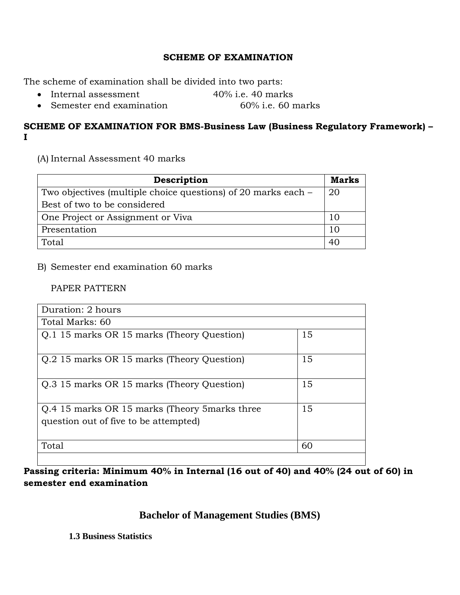### **SCHEME OF EXAMINATION**

The scheme of examination shall be divided into two parts:

- Internal assessment 40% i.e. 40 marks
- Semester end examination 60% i.e. 60 marks

### **SCHEME OF EXAMINATION FOR BMS-Business Law (Business Regulatory Framework) – I**

(A) Internal Assessment 40 marks

| Description                                                   | Marks |
|---------------------------------------------------------------|-------|
| Two objectives (multiple choice questions) of 20 marks each – |       |
| Best of two to be considered                                  |       |
| One Project or Assignment or Viva                             |       |
| Presentation                                                  | 10    |
| Total                                                         | 40    |

B) Semester end examination 60 marks

### PAPER PATTERN

| Duration: 2 hours                                                                       |    |
|-----------------------------------------------------------------------------------------|----|
| Total Marks: 60                                                                         |    |
| Q.1 15 marks OR 15 marks (Theory Question)                                              | 15 |
| O.2 15 marks OR 15 marks (Theory Question)                                              | 15 |
| O.3 15 marks OR 15 marks (Theory Question)                                              | 15 |
| Q.4 15 marks OR 15 marks (Theory 5 marks three<br>question out of five to be attempted) | 15 |
| Total                                                                                   | 60 |

**Passing criteria: Minimum 40% in Internal (16 out of 40) and 40% (24 out of 60) in semester end examination** 

# **Bachelor of Management Studies (BMS)**

**1.3 Business Statistics**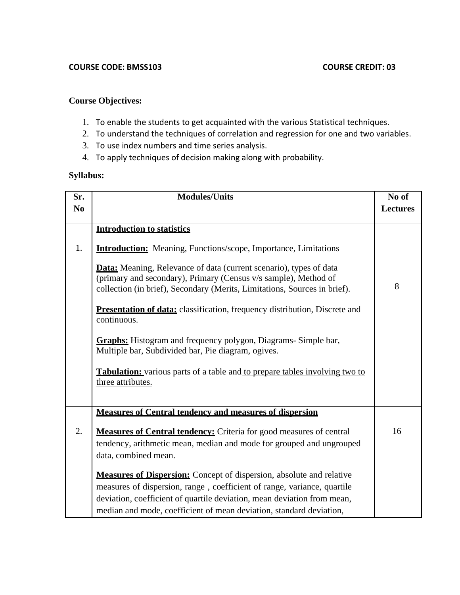### **Course Objectives:**

- 1. To enable the students to get acquainted with the various Statistical techniques.
- 2. To understand the techniques of correlation and regression for one and two variables.
- 3. To use index numbers and time series analysis.
- 4. To apply techniques of decision making along with probability.

### **Syllabus:**

| Sr.            | <b>Modules/Units</b>                                                                                                                                                                                                                                                                                     |                 |
|----------------|----------------------------------------------------------------------------------------------------------------------------------------------------------------------------------------------------------------------------------------------------------------------------------------------------------|-----------------|
| N <sub>0</sub> |                                                                                                                                                                                                                                                                                                          | <b>Lectures</b> |
|                | <b>Introduction to statistics</b>                                                                                                                                                                                                                                                                        |                 |
| 1.             | <b>Introduction:</b> Meaning, Functions/scope, Importance, Limitations                                                                                                                                                                                                                                   |                 |
|                | <b>Data:</b> Meaning, Relevance of data (current scenario), types of data<br>(primary and secondary), Primary (Census v/s sample), Method of<br>collection (in brief), Secondary (Merits, Limitations, Sources in brief).                                                                                | 8               |
|                | <b>Presentation of data:</b> classification, frequency distribution, Discrete and<br>continuous.                                                                                                                                                                                                         |                 |
|                | <b>Graphs:</b> Histogram and frequency polygon, Diagrams-Simple bar,<br>Multiple bar, Subdivided bar, Pie diagram, ogives.                                                                                                                                                                               |                 |
|                | <b>Tabulation:</b> various parts of a table and to prepare tables involving two to<br>three attributes.                                                                                                                                                                                                  |                 |
|                |                                                                                                                                                                                                                                                                                                          |                 |
|                | <b>Measures of Central tendency and measures of dispersion</b>                                                                                                                                                                                                                                           |                 |
| 2.             | <b>Measures of Central tendency:</b> Criteria for good measures of central<br>tendency, arithmetic mean, median and mode for grouped and ungrouped<br>data, combined mean.                                                                                                                               | 16              |
|                | <b>Measures of Dispersion:</b> Concept of dispersion, absolute and relative<br>measures of dispersion, range, coefficient of range, variance, quartile<br>deviation, coefficient of quartile deviation, mean deviation from mean,<br>median and mode, coefficient of mean deviation, standard deviation, |                 |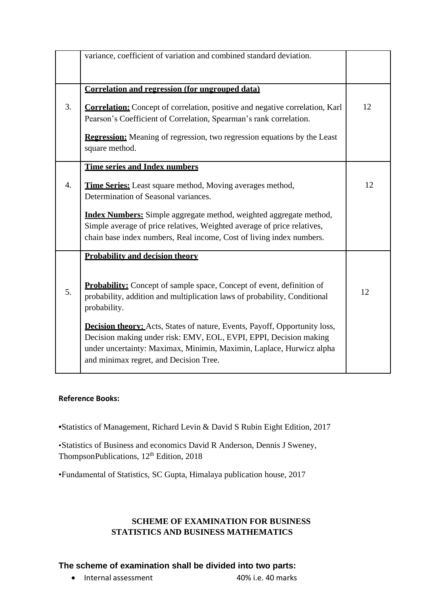|    | variance, coefficient of variation and combined standard deviation.                                                                                                                                                                                                      |    |
|----|--------------------------------------------------------------------------------------------------------------------------------------------------------------------------------------------------------------------------------------------------------------------------|----|
|    | Correlation and regression (for ungrouped data)                                                                                                                                                                                                                          |    |
| 3. | <b>Correlation:</b> Concept of correlation, positive and negative correlation, Karl<br>Pearson's Coefficient of Correlation, Spearman's rank correlation.                                                                                                                | 12 |
|    | <b>Regression:</b> Meaning of regression, two regression equations by the Least<br>square method.                                                                                                                                                                        |    |
|    | <b>Time series and Index numbers</b>                                                                                                                                                                                                                                     |    |
| 4. | <b>Time Series:</b> Least square method, Moving averages method,<br>Determination of Seasonal variances.                                                                                                                                                                 | 12 |
|    | <b>Index Numbers:</b> Simple aggregate method, weighted aggregate method,<br>Simple average of price relatives, Weighted average of price relatives,<br>chain base index numbers, Real income, Cost of living index numbers.                                             |    |
|    | <b>Probability and decision theory</b>                                                                                                                                                                                                                                   |    |
| 5. | <b>Probability:</b> Concept of sample space, Concept of event, definition of<br>probability, addition and multiplication laws of probability, Conditional<br>probability.                                                                                                | 12 |
|    | <b>Decision theory:</b> Acts, States of nature, Events, Payoff, Opportunity loss,<br>Decision making under risk: EMV, EOL, EVPI, EPPI, Decision making<br>under uncertainty: Maximax, Minimin, Maximin, Laplace, Hurwicz alpha<br>and minimax regret, and Decision Tree. |    |

### **Reference Books:**

**•**Statistics of Management, Richard Levin & David S Rubin Eight Edition, 2017

•Statistics of Business and economics David R Anderson, Dennis J Sweney, ThompsonPublications, 12<sup>th</sup> Edition, 2018

•Fundamental of Statistics, SC Gupta, Himalaya publication house, 2017

### **SCHEME OF EXAMINATION FOR BUSINESS STATISTICS AND BUSINESS MATHEMATICS**

# **The scheme of examination shall be divided into two parts:**

• Internal assessment 40% i.e. 40 marks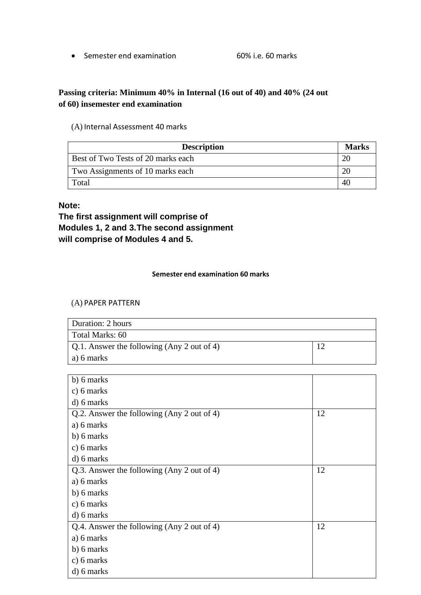• Semester end examination 60% i.e. 60 marks

### **Passing criteria: Minimum 40% in Internal (16 out of 40) and 40% (24 out of 60) insemester end examination**

### (A) Internal Assessment 40 marks

| <b>Description</b>                 | <b>Marks</b> |
|------------------------------------|--------------|
| Best of Two Tests of 20 marks each |              |
| Two Assignments of 10 marks each   |              |
| Total                              | 40           |

### **Note:**

**The first assignment will comprise of Modules 1, 2 and 3.The second assignment will comprise of Modules 4 and 5.**

#### **Semester end examination 60 marks**

### (A) PAPER PATTERN

| Duration: 2 hours                                  |  |
|----------------------------------------------------|--|
| Total Marks: 60                                    |  |
| $\vert$ Q.1. Answer the following (Any 2 out of 4) |  |
| a) 6 marks                                         |  |

| b) 6 marks                                 |    |
|--------------------------------------------|----|
| c) $6$ marks                               |    |
| d) 6 marks                                 |    |
| Q.2. Answer the following (Any 2 out of 4) | 12 |
| a) 6 marks                                 |    |
| b) 6 marks                                 |    |
| c) 6 marks                                 |    |
| d) 6 marks                                 |    |
| Q.3. Answer the following (Any 2 out of 4) | 12 |
| a) 6 marks                                 |    |
| b) 6 marks                                 |    |
| c) $6$ marks                               |    |
| d) 6 marks                                 |    |
| Q.4. Answer the following (Any 2 out of 4) | 12 |
| a) 6 marks                                 |    |
| b) 6 marks                                 |    |
| $c)$ 6 marks                               |    |
| d) 6 marks                                 |    |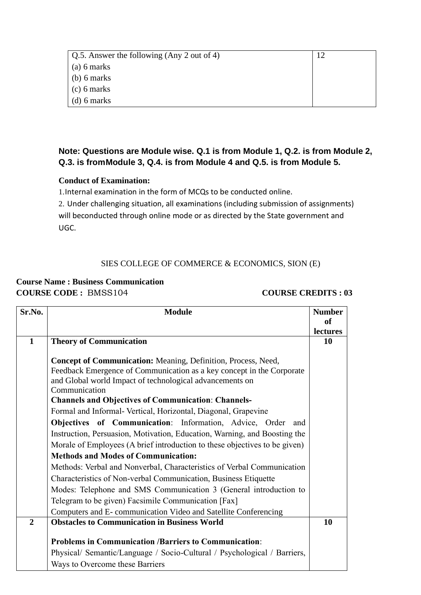| Q.5. Answer the following (Any 2 out of 4) |  |
|--------------------------------------------|--|
| $(a)$ 6 marks                              |  |
| $(b)$ 6 marks                              |  |
| $(c)$ 6 marks                              |  |
| $(d)$ 6 marks                              |  |

### **Note: Questions are Module wise. Q.1 is from Module 1, Q.2. is from Module 2, Q.3. is fromModule 3, Q.4. is from Module 4 and Q.5. is from Module 5.**

### **Conduct of Examination:**

1.Internal examination in the form of MCQs to be conducted online.

2. Under challenging situation, all examinations (including submission of assignments) will beconducted through online mode or as directed by the State government and UGC.

### SIES COLLEGE OF COMMERCE & ECONOMICS, SION (E)

### **Course Name : Business Communication COURSE CODE :** BMSS104 **COURSE CREDITS : 03**

| Sr.No.         | <b>Module</b><br><b>Number</b>                                             |               |  |
|----------------|----------------------------------------------------------------------------|---------------|--|
|                |                                                                            | <sub>of</sub> |  |
|                |                                                                            | lectures      |  |
| $\mathbf{1}$   | <b>Theory of Communication</b>                                             |               |  |
|                |                                                                            |               |  |
|                | Concept of Communication: Meaning, Definition, Process, Need,              |               |  |
|                | Feedback Emergence of Communication as a key concept in the Corporate      |               |  |
|                | and Global world Impact of technological advancements on                   |               |  |
|                | Communication                                                              |               |  |
|                | <b>Channels and Objectives of Communication: Channels-</b>                 |               |  |
|                | Formal and Informal- Vertical, Horizontal, Diagonal, Grapevine             |               |  |
|                | Objectives of Communication: Information, Advice, Order<br>and             |               |  |
|                | Instruction, Persuasion, Motivation, Education, Warning, and Boosting the  |               |  |
|                | Morale of Employees (A brief introduction to these objectives to be given) |               |  |
|                | <b>Methods and Modes of Communication:</b>                                 |               |  |
|                | Methods: Verbal and Nonverbal, Characteristics of Verbal Communication     |               |  |
|                | Characteristics of Non-verbal Communication, Business Etiquette            |               |  |
|                | Modes: Telephone and SMS Communication 3 (General introduction to          |               |  |
|                | Telegram to be given) Facsimile Communication [Fax]                        |               |  |
|                | Computers and E-communication Video and Satellite Conferencing             |               |  |
| $\overline{2}$ | <b>Obstacles to Communication in Business World</b>                        |               |  |
|                |                                                                            |               |  |
|                | <b>Problems in Communication /Barriers to Communication:</b>               |               |  |
|                | Physical/ Semantic/Language / Socio-Cultural / Psychological / Barriers,   |               |  |
|                | Ways to Overcome these Barriers                                            |               |  |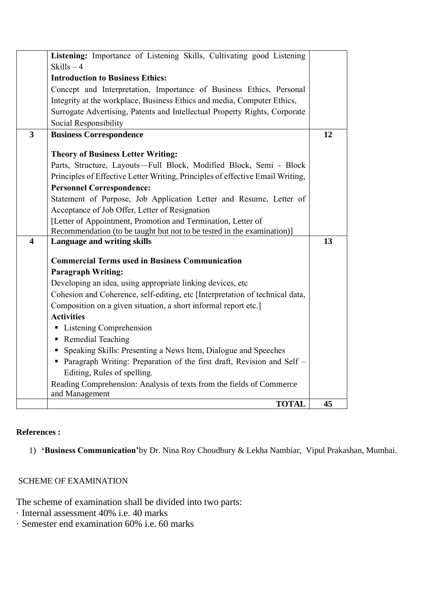|                         | Listening: Importance of Listening Skills, Cultivating good Listening                  |    |  |  |  |
|-------------------------|----------------------------------------------------------------------------------------|----|--|--|--|
|                         | Skills $-4$                                                                            |    |  |  |  |
|                         | <b>Introduction to Business Ethics:</b>                                                |    |  |  |  |
|                         | Concept and Interpretation, Importance of Business Ethics, Personal                    |    |  |  |  |
|                         | Integrity at the workplace, Business Ethics and media, Computer Ethics,                |    |  |  |  |
|                         | Surrogate Advertising, Patents and Intellectual Property Rights, Corporate             |    |  |  |  |
|                         | Social Responsibility                                                                  |    |  |  |  |
| $\overline{3}$          | <b>Business Correspondence</b>                                                         |    |  |  |  |
|                         |                                                                                        |    |  |  |  |
|                         | <b>Theory of Business Letter Writing:</b>                                              |    |  |  |  |
|                         | Parts, Structure, Layouts-Full Block, Modified Block, Semi - Block                     |    |  |  |  |
|                         | Principles of Effective Letter Writing, Principles of effective Email Writing,         |    |  |  |  |
|                         | <b>Personnel Correspondence:</b>                                                       |    |  |  |  |
|                         | Statement of Purpose, Job Application Letter and Resume, Letter of                     |    |  |  |  |
|                         | Acceptance of Job Offer, Letter of Resignation                                         |    |  |  |  |
|                         | [Letter of Appointment, Promotion and Termination, Letter of                           |    |  |  |  |
|                         | Recommendation (to be taught but not to be tested in the examination)]                 |    |  |  |  |
| $\overline{\mathbf{4}}$ | Language and writing skills                                                            | 13 |  |  |  |
|                         | <b>Commercial Terms used in Business Communication</b>                                 |    |  |  |  |
|                         | <b>Paragraph Writing:</b>                                                              |    |  |  |  |
|                         | Developing an idea, using appropriate linking devices, etc                             |    |  |  |  |
|                         | Cohesion and Coherence, self-editing, etc [Interpretation of technical data,           |    |  |  |  |
|                         | Composition on a given situation, a short informal report etc.]                        |    |  |  |  |
|                         | <b>Activities</b>                                                                      |    |  |  |  |
|                         | • Listening Comprehension                                                              |    |  |  |  |
|                         | • Remedial Teaching                                                                    |    |  |  |  |
|                         | • Speaking Skills: Presenting a News Item, Dialogue and Speeches                       |    |  |  |  |
|                         | • Paragraph Writing: Preparation of the first draft, Revision and Self –               |    |  |  |  |
|                         |                                                                                        |    |  |  |  |
|                         | Editing, Rules of spelling.                                                            |    |  |  |  |
|                         | Reading Comprehension: Analysis of texts from the fields of Commerce<br>and Management |    |  |  |  |
|                         | <b>TOTAL</b>                                                                           | 45 |  |  |  |

### **References :**

1) **'Business Communication'**by Dr. Nina Roy Choudhury & Lekha Nambiar, Vipul Prakashan, Mumbai.

### SCHEME OF EXAMINATION

The scheme of examination shall be divided into two parts:

- · Internal assessment 40% i.e. 40 marks
- · Semester end examination 60% i.e. 60 marks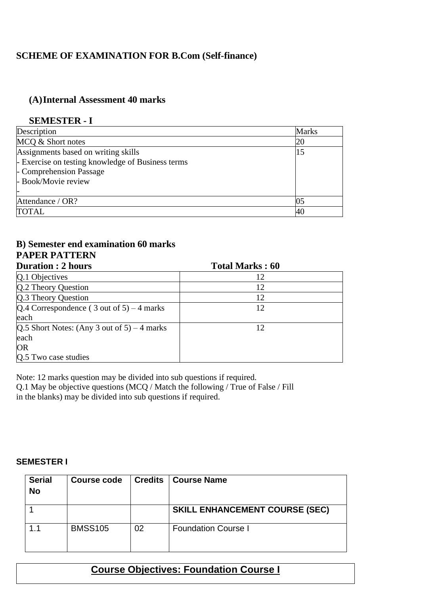# **SCHEME OF EXAMINATION FOR B.Com (Self-finance)**

# **(A)Internal Assessment 40 marks**

### **SEMESTER - I**

| Description                                       | <b>Marks</b> |
|---------------------------------------------------|--------------|
| MCQ & Short notes                                 | 20           |
| Assignments based on writing skills               |              |
| - Exercise on testing knowledge of Business terms |              |
| - Comprehension Passage                           |              |
| - Book/Movie review                               |              |
|                                                   |              |
| Attendance / OR?                                  |              |
| <b>TOTAL</b>                                      |              |

# **B) Semester end examination 60 marks PAPER PATTERN**

| <b>Duration: 2 hours</b>                      | <b>Total Marks: 60</b> |  |
|-----------------------------------------------|------------------------|--|
| Q.1 Objectives                                | 12                     |  |
| Q.2 Theory Question                           | 12                     |  |
| Q.3 Theory Question                           | 12                     |  |
| $Q.4$ Correspondence (3 out of 5) – 4 marks   | 12                     |  |
| each                                          |                        |  |
| $Q.5$ Short Notes: (Any 3 out of 5) – 4 marks | 12                     |  |
| each                                          |                        |  |
| <b>OR</b>                                     |                        |  |
| Q.5 Two case studies                          |                        |  |

Note: 12 marks question may be divided into sub questions if required.

Q.1 May be objective questions (MCQ / Match the following / True of False / Fill in the blanks) may be divided into sub questions if required.

### **SEMESTER I**

| <b>Serial</b><br><b>No</b> | Course code    | <b>Credits</b> | <b>Course Name</b>                    |
|----------------------------|----------------|----------------|---------------------------------------|
|                            |                |                | <b>SKILL ENHANCEMENT COURSE (SEC)</b> |
|                            | <b>BMSS105</b> | 02             | <b>Foundation Course I</b>            |

# **Course Objectives: Foundation Course I**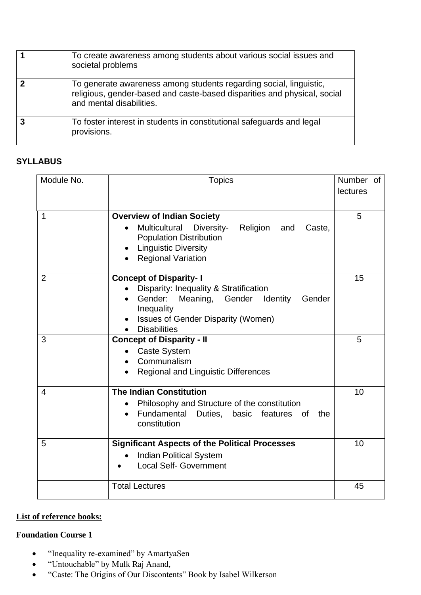| To create awareness among students about various social issues and<br>societal problems                                                                                    |
|----------------------------------------------------------------------------------------------------------------------------------------------------------------------------|
| To generate awareness among students regarding social, linguistic,<br>religious, gender-based and caste-based disparities and physical, social<br>and mental disabilities. |
| To foster interest in students in constitutional safeguards and legal<br>provisions.                                                                                       |

### **SYLLABUS**

| Module No.     | <b>Topics</b>                                                                                                                                                                                              | Number of<br>lectures |
|----------------|------------------------------------------------------------------------------------------------------------------------------------------------------------------------------------------------------------|-----------------------|
| 1              | <b>Overview of Indian Society</b><br><b>Multicultural</b><br>Diversity-<br>Religion<br>and<br>Caste,<br><b>Population Distribution</b><br><b>Linguistic Diversity</b><br><b>Regional Variation</b>         | 5                     |
| $\overline{2}$ | <b>Concept of Disparity-I</b><br>Disparity: Inequality & Stratification<br>Gender:<br>Meaning, Gender Identity<br>Gender<br>Inequality<br><b>Issues of Gender Disparity (Women)</b><br><b>Disabilities</b> | 15                    |
| 3              | <b>Concept of Disparity - II</b><br><b>Caste System</b><br>Communalism<br><b>Regional and Linguistic Differences</b>                                                                                       | 5                     |
| $\overline{4}$ | <b>The Indian Constitution</b><br>Philosophy and Structure of the constitution<br>Fundamental<br>Duties,<br>basic<br>features<br>the<br>0f<br>$\bullet$<br>constitution                                    | 10                    |
| 5              | <b>Significant Aspects of the Political Processes</b><br><b>Indian Political System</b><br><b>Local Self- Government</b>                                                                                   | 10                    |
|                | <b>Total Lectures</b>                                                                                                                                                                                      | 45                    |

### **List of reference books:**

### **Foundation Course 1**

- "Inequality re-examined" by AmartyaSen
- "Untouchable" by Mulk Raj Anand,
- "Caste: The Origins of Our Discontents" Book by Isabel Wilkerson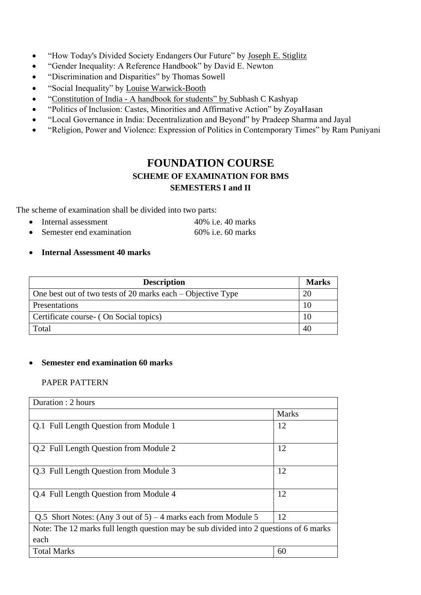- "How Today's Divided Society Endangers Our Future" by [Joseph E. Stiglitz](https://www.audible.in/search?searchAuthor=Joseph+E.+Stiglitz&ref=a_pd_The-Pr_c1_author_1&pf_rd_p=560e35de-8750-4d84-929a-fb4019dc2605&pf_rd_r=4FXR6FA7G9FN3329HWGZ)
- "Gender Inequality: A Reference Handbook" by David E. Newton
- "Discrimination and Disparities" by Thomas Sowell
- "Social Inequality" by [Louise Warwick-Booth](javascript:void(0);)
- "Constitution of India [A handbook for students" by](https://www.amazon.in/dp/9386473437/ref=s9_acsd_omg_hd_bw_b4Wp3xX_c2_x_2_t?pf_rd_m=A1K21FY43GMZF8&pf_rd_s=merchandised-search-11&pf_rd_r=6XRXAMGHYGGJQ2KGNHVA&pf_rd_t=101&pf_rd_p=cb2ee1e0-a261-583a-9e77-9a87e59f99ac&pf_rd_i=4149544031) Subhash C Kashyap
- "Politics of Inclusion: Castes, Minorities and Affirmative Action" by ZoyaHasan
- "Local Governance in India: Decentralization and Beyond" by Pradeep Sharma and Jayal
- "Religion, Power and Violence: Expression of Politics in Contemporary Times" by Ram Puniyani

# **FOUNDATION COURSE SCHEME OF EXAMINATION FOR BMS SEMESTERS I and II**

The scheme of examination shall be divided into two parts:

- Internal assessment 40% i.e. 40 marks
- Semester end examination 60% i.e. 60 marks
- **Internal Assessment 40 marks**

| <b>Description</b>                                            | <b>Marks</b> |
|---------------------------------------------------------------|--------------|
| One best out of two tests of 20 marks each $-$ Objective Type |              |
| Presentations                                                 | 10           |
| Certificate course - (On Social topics)                       | 10           |
| Total                                                         | 40           |

### • **Semester end examination 60 marks**

### PAPER PATTERN

| Duration : 2 hours                                                                             |              |  |
|------------------------------------------------------------------------------------------------|--------------|--|
|                                                                                                | <b>Marks</b> |  |
| Q.1 Full Length Question from Module 1                                                         | 12           |  |
| Q.2 Full Length Question from Module 2                                                         | 12           |  |
| Q.3 Full Length Question from Module 3                                                         | 12           |  |
| Q.4 Full Length Question from Module 4                                                         | 12           |  |
| Q.5 Short Notes: (Any 3 out of $5$ ) – 4 marks each from Module 5                              | 12           |  |
| Note: The 12 marks full length question may be sub divided into 2 questions of 6 marks<br>each |              |  |
| <b>Total Marks</b><br>60                                                                       |              |  |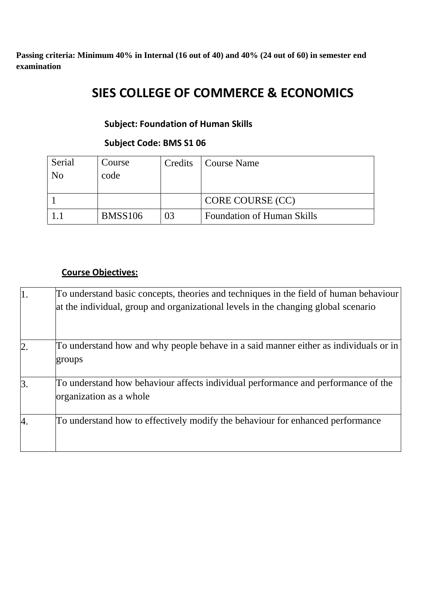**Passing criteria: Minimum 40% in Internal (16 out of 40) and 40% (24 out of 60) in semester end examination** 

# **SIES COLLEGE OF COMMERCE & ECONOMICS**

# **Subject: Foundation of Human Skills**

### **Subject Code: BMS S1 06**

| Serial | Course         | Credits | Course Name                       |
|--------|----------------|---------|-----------------------------------|
| No     | code           |         |                                   |
|        |                |         |                                   |
|        |                |         | CORE COURSE (CC)                  |
|        | <b>BMSS106</b> | 03      | <b>Foundation of Human Skills</b> |

### **Course Objectives:**

| $\mathbf{1}$ .   | To understand basic concepts, theories and techniques in the field of human behaviour<br>at the individual, group and organizational levels in the changing global scenario |
|------------------|-----------------------------------------------------------------------------------------------------------------------------------------------------------------------------|
| $\overline{2}$ . | To understand how and why people behave in a said manner either as individuals or in<br>groups                                                                              |
| 3.               | To understand how behaviour affects individual performance and performance of the<br>organization as a whole                                                                |
| 4.               | To understand how to effectively modify the behaviour for enhanced performance                                                                                              |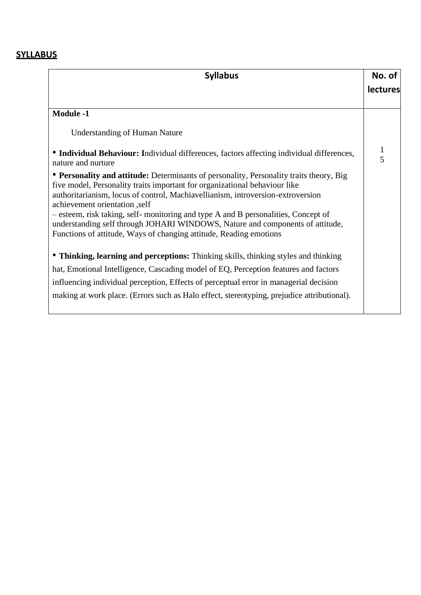# **SYLLABUS**

| <b>Syllabus</b>                                                                                                                                                                                                                                                                                                                                                                                                                                                                                                                        | No. of<br><b>lectures</b> |
|----------------------------------------------------------------------------------------------------------------------------------------------------------------------------------------------------------------------------------------------------------------------------------------------------------------------------------------------------------------------------------------------------------------------------------------------------------------------------------------------------------------------------------------|---------------------------|
| <b>Module -1</b>                                                                                                                                                                                                                                                                                                                                                                                                                                                                                                                       |                           |
| <b>Understanding of Human Nature</b>                                                                                                                                                                                                                                                                                                                                                                                                                                                                                                   |                           |
| • Individual Behaviour: Individual differences, factors affecting individual differences,<br>nature and nurture                                                                                                                                                                                                                                                                                                                                                                                                                        | $\mathbf{1}$<br>5         |
| • Personality and attitude: Determinants of personality, Personality traits theory, Big<br>five model, Personality traits important for organizational behaviour like<br>authoritarianism, locus of control, Machiavellianism, introversion-extroversion<br>achievement orientation ,self<br>- esteem, risk taking, self- monitoring and type A and B personalities, Concept of<br>understanding self through JOHARI WINDOWS, Nature and components of attitude,<br>Functions of attitude, Ways of changing attitude, Reading emotions |                           |
| • Thinking, learning and perceptions: Thinking skills, thinking styles and thinking                                                                                                                                                                                                                                                                                                                                                                                                                                                    |                           |
| hat, Emotional Intelligence, Cascading model of EQ, Perception features and factors                                                                                                                                                                                                                                                                                                                                                                                                                                                    |                           |
| influencing individual perception, Effects of perceptual error in managerial decision                                                                                                                                                                                                                                                                                                                                                                                                                                                  |                           |
| making at work place. (Errors such as Halo effect, stereotyping, prejudice attributional).                                                                                                                                                                                                                                                                                                                                                                                                                                             |                           |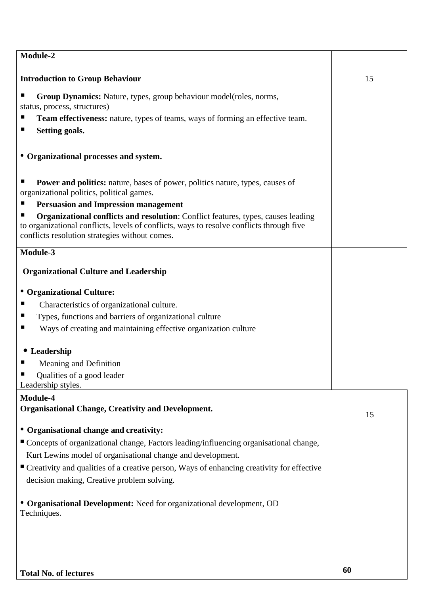| <b>Total No. of lectures</b>                                                                                                               | 60 |
|--------------------------------------------------------------------------------------------------------------------------------------------|----|
|                                                                                                                                            |    |
| • Organisational Development: Need for organizational development, OD<br>Techniques.                                                       |    |
| decision making, Creative problem solving.                                                                                                 |    |
| ■ Creativity and qualities of a creative person, Ways of enhancing creativity for effective                                                |    |
| Kurt Lewins model of organisational change and development.                                                                                |    |
| ■ Concepts of organizational change, Factors leading/influencing organisational change,                                                    |    |
| • Organisational change and creativity:                                                                                                    |    |
| <b>Organisational Change, Creativity and Development.</b>                                                                                  | 15 |
| Module-4                                                                                                                                   |    |
| Leadership styles.                                                                                                                         |    |
| Qualities of a good leader                                                                                                                 |    |
| • Leadership<br>Meaning and Definition                                                                                                     |    |
|                                                                                                                                            |    |
| п<br>Ways of creating and maintaining effective organization culture                                                                       |    |
| ш<br>Types, functions and barriers of organizational culture                                                                               |    |
| ш<br>Characteristics of organizational culture.                                                                                            |    |
| • Organizational Culture:                                                                                                                  |    |
| <b>Organizational Culture and Leadership</b>                                                                                               |    |
| Module-3                                                                                                                                   |    |
| to organizational conflicts, levels of conflicts, ways to resolve conflicts through five<br>conflicts resolution strategies without comes. |    |
| <b>Organizational conflicts and resolution:</b> Conflict features, types, causes leading                                                   |    |
| organizational politics, political games.<br><b>Persuasion and Impression management</b>                                                   |    |
| <b>Power and politics:</b> nature, bases of power, politics nature, types, causes of                                                       |    |
| • Organizational processes and system.                                                                                                     |    |
| ш<br>Setting goals.                                                                                                                        |    |
| <b>Team effectiveness:</b> nature, types of teams, ways of forming an effective team.<br>ш                                                 |    |
| <b>Group Dynamics:</b> Nature, types, group behaviour model (roles, norms,<br>status, process, structures)                                 |    |
|                                                                                                                                            |    |
| <b>Introduction to Group Behaviour</b>                                                                                                     | 15 |
| Module-2                                                                                                                                   |    |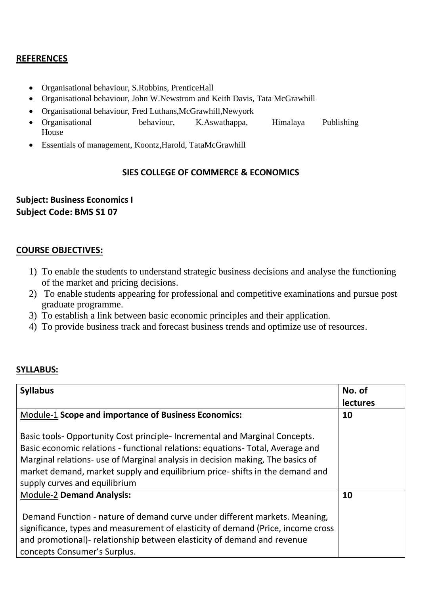### **REFERENCES**

- Organisational behaviour, S.Robbins, PrenticeHall
- Organisational behaviour, John W.Newstrom and Keith Davis, Tata McGrawhill
- Organisational behaviour, Fred Luthans,McGrawhill,Newyork
- Organisational behaviour, K.Aswathappa, Himalaya Publishing House
- Essentials of management, Koontz,Harold, TataMcGrawhill

### **SIES COLLEGE OF COMMERCE & ECONOMICS**

# **Subject: Business Economics I Subject Code: BMS S1 07**

### **COURSE OBJECTIVES:**

- 1) To enable the students to understand strategic business decisions and analyse the functioning of the market and pricing decisions.
- 2) To enable students appearing for professional and competitive examinations and pursue post graduate programme.
- 3) To establish a link between basic economic principles and their application.
- 4) To provide business track and forecast business trends and optimize use of resources.

### **SYLLABUS:**

| <b>Syllabus</b>                                                                  | No. of          |
|----------------------------------------------------------------------------------|-----------------|
|                                                                                  | <b>lectures</b> |
| Module-1 Scope and importance of Business Economics:                             | 10              |
|                                                                                  |                 |
| Basic tools-Opportunity Cost principle-Incremental and Marginal Concepts.        |                 |
| Basic economic relations - functional relations: equations- Total, Average and   |                 |
| Marginal relations- use of Marginal analysis in decision making, The basics of   |                 |
| market demand, market supply and equilibrium price-shifts in the demand and      |                 |
| supply curves and equilibrium                                                    |                 |
| <b>Module-2 Demand Analysis:</b>                                                 | 10              |
|                                                                                  |                 |
| Demand Function - nature of demand curve under different markets. Meaning,       |                 |
| significance, types and measurement of elasticity of demand (Price, income cross |                 |
| and promotional)- relationship between elasticity of demand and revenue          |                 |
| concepts Consumer's Surplus.                                                     |                 |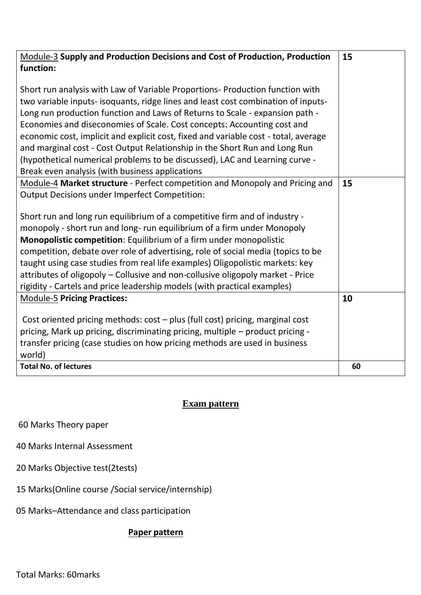| <b>Module-3 Supply and Production Decisions and Cost of Production, Production</b>  | 15 |
|-------------------------------------------------------------------------------------|----|
| function:                                                                           |    |
|                                                                                     |    |
| Short run analysis with Law of Variable Proportions- Production function with       |    |
| two variable inputs- isoquants, ridge lines and least cost combination of inputs-   |    |
| Long run production function and Laws of Returns to Scale - expansion path -        |    |
| Economies and diseconomies of Scale. Cost concepts: Accounting cost and             |    |
| economic cost, implicit and explicit cost, fixed and variable cost - total, average |    |
| and marginal cost - Cost Output Relationship in the Short Run and Long Run          |    |
| (hypothetical numerical problems to be discussed), LAC and Learning curve -         |    |
| Break even analysis (with business applications                                     |    |
| Module-4 Market structure - Perfect competition and Monopoly and Pricing and        | 15 |
| <b>Output Decisions under Imperfect Competition:</b>                                |    |
|                                                                                     |    |
| Short run and long run equilibrium of a competitive firm and of industry -          |    |
| monopoly - short run and long- run equilibrium of a firm under Monopoly             |    |
| Monopolistic competition: Equilibrium of a firm under monopolistic                  |    |
| competition, debate over role of advertising, role of social media (topics to be    |    |
| taught using case studies from real life examples) Oligopolistic markets: key       |    |
| attributes of oligopoly - Collusive and non-collusive oligopoly market - Price      |    |
| rigidity - Cartels and price leadership models (with practical examples)            |    |
| <b>Module-5 Pricing Practices:</b>                                                  | 10 |
|                                                                                     |    |
| Cost oriented pricing methods: cost - plus (full cost) pricing, marginal cost       |    |
| pricing, Mark up pricing, discriminating pricing, multiple - product pricing -      |    |
| transfer pricing (case studies on how pricing methods are used in business          |    |
| world)<br><b>Total No. of lectures</b>                                              | 60 |
|                                                                                     |    |

# **Exam pattern**

60 Marks Theory paper

40 Marks Internal Assessment

20 Marks Objective test(2tests)

15 Marks(Online course /Social service/internship)

05 Marks–Attendance and class participation

## **Paper pattern**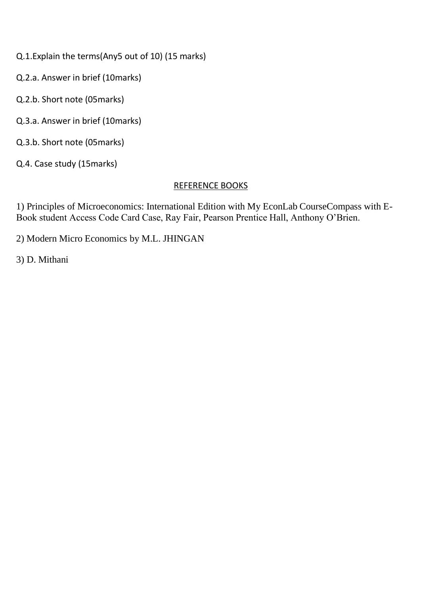Q.1.Explain the terms(Any5 out of 10) (15 marks)

Q.2.a. Answer in brief (10marks)

Q.2.b. Short note (05marks)

Q.3.a. Answer in brief (10marks)

Q.3.b. Short note (05marks)

Q.4. Case study (15marks)

### REFERENCE BOOKS

1) Principles of Microeconomics: International Edition with My EconLab CourseCompass with E-Book student Access Code Card Case, Ray Fair, Pearson Prentice Hall, Anthony O'Brien.

2) Modern Micro Economics by M.L. JHINGAN

3) D. Mithani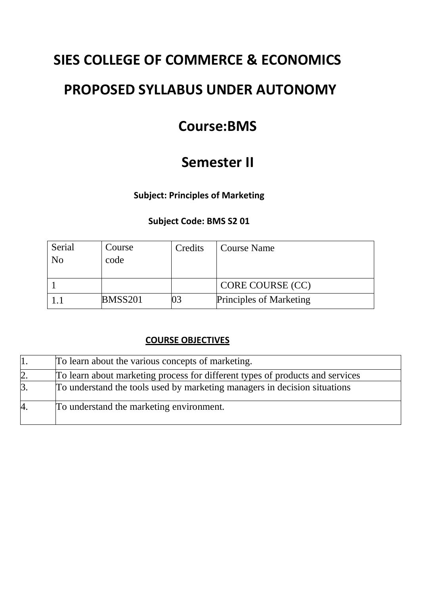# **SIES COLLEGE OF COMMERCE & ECONOMICS**

# **PROPOSED SYLLABUS UNDER AUTONOMY**

# **Course:BMS**

# **Semester II**

**Subject: Principles of Marketing**

# **Subject Code: BMS S2 01**

| Serial         | Course  | Credits | <b>Course Name</b>             |
|----------------|---------|---------|--------------------------------|
| N <sub>0</sub> | code    |         |                                |
|                |         |         |                                |
|                |         |         | CORE COURSE (CC)               |
|                | BMSS201 |         | <b>Principles of Marketing</b> |

### **COURSE OBJECTIVES**

|                | To learn about the various concepts of marketing.                             |
|----------------|-------------------------------------------------------------------------------|
| $\overline{2}$ | To learn about marketing process for different types of products and services |
| $\beta$ .      | To understand the tools used by marketing managers in decision situations     |
| 4              | To understand the marketing environment.                                      |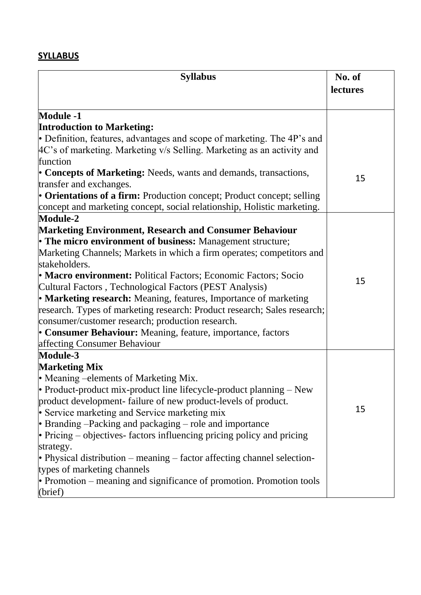# **SYLLABUS**

| <b>Syllabus</b>                                                                    | No. of   |
|------------------------------------------------------------------------------------|----------|
|                                                                                    | lectures |
|                                                                                    |          |
| <b>Module -1</b>                                                                   |          |
| <b>Introduction to Marketing:</b>                                                  |          |
| • Definition, features, advantages and scope of marketing. The $4P$ 's and         |          |
| 4C's of marketing. Marketing v/s Selling. Marketing as an activity and<br>function |          |
| • Concepts of Marketing: Needs, wants and demands, transactions,                   |          |
| transfer and exchanges.                                                            | 15       |
| • Orientations of a firm: Production concept; Product concept; selling             |          |
| concept and marketing concept, social relationship, Holistic marketing.            |          |
| <b>Module-2</b>                                                                    |          |
| <b>Marketing Environment, Research and Consumer Behaviour</b>                      |          |
| • The micro environment of business: Management structure;                         |          |
| Marketing Channels; Markets in which a firm operates; competitors and              |          |
| stakeholders.                                                                      |          |
| • Macro environment: Political Factors; Economic Factors; Socio                    |          |
| Cultural Factors, Technological Factors (PEST Analysis)                            | 15       |
| • Marketing research: Meaning, features, Importance of marketing                   |          |
| research. Types of marketing research: Product research; Sales research;           |          |
| consumer/customer research; production research.                                   |          |
| • Consumer Behaviour: Meaning, feature, importance, factors                        |          |
| affecting Consumer Behaviour                                                       |          |
| Module-3                                                                           |          |
| <b>Marketing Mix</b>                                                               |          |
| • Meaning -elements of Marketing Mix.                                              |          |
| • Product-product mix-product line lifecycle-product planning $-$ New              |          |
| product development-failure of new product-levels of product.                      |          |
| • Service marketing and Service marketing mix                                      | 15       |
| • Branding $-$ Packing and packaging $-$ role and importance                       |          |
| • Pricing – objectives- factors influencing pricing policy and pricing             |          |
| strategy.                                                                          |          |
| • Physical distribution $-$ meaning $-$ factor affecting channel selection-        |          |
| types of marketing channels                                                        |          |
| • Promotion – meaning and significance of promotion. Promotion tools               |          |
| (brief)                                                                            |          |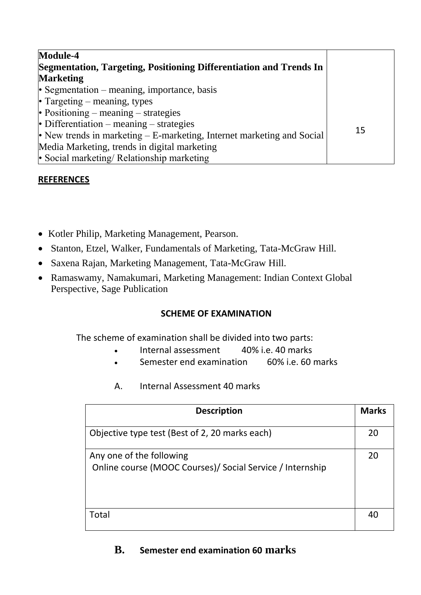| Module-4                                                                 |    |
|--------------------------------------------------------------------------|----|
| Segmentation, Targeting, Positioning Differentiation and Trends In       |    |
| <b>Marketing</b>                                                         |    |
| • Segmentation $-$ meaning, importance, basis                            |    |
| • Targeting – meaning, types                                             |    |
| • Positioning – meaning – strategies                                     |    |
| • Differentiation – meaning – strategies                                 |    |
| • New trends in marketing $-$ E-marketing, Internet marketing and Social | 15 |
| Media Marketing, trends in digital marketing                             |    |
| • Social marketing/ Relationship marketing                               |    |

# **REFERENCES**

- Kotler Philip, Marketing Management, Pearson.
- Stanton, Etzel, Walker, Fundamentals of Marketing, Tata-McGraw Hill.
- Saxena Rajan, Marketing Management, Tata-McGraw Hill.
- Ramaswamy, Namakumari, Marketing Management: Indian Context Global Perspective, Sage Publication

### **SCHEME OF EXAMINATION**

The scheme of examination shall be divided into two parts:

- Internal assessment 40% i.e. 40 marks
- Semester end examination 60% i.e. 60 marks
- A. Internal Assessment 40 marks

| <b>Description</b>                                                                    | <b>Marks</b> |
|---------------------------------------------------------------------------------------|--------------|
| Objective type test (Best of 2, 20 marks each)                                        | 20           |
| Any one of the following<br>Online course (MOOC Courses)/ Social Service / Internship | 20           |
| Total                                                                                 | 40           |

# **B. Semester end examination 60 marks**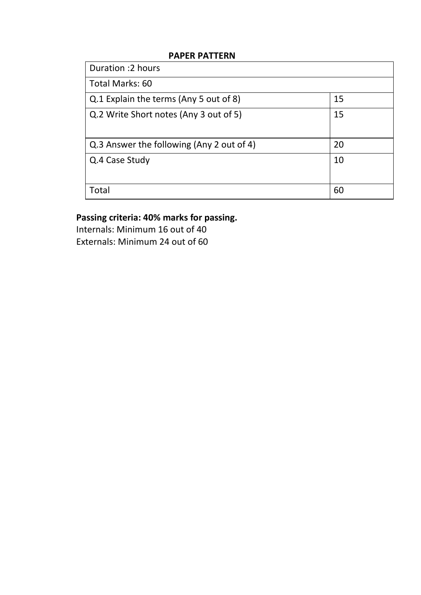### **PAPER PATTERN**

| Duration : 2 hours                        |    |
|-------------------------------------------|----|
| Total Marks: 60                           |    |
| Q.1 Explain the terms (Any 5 out of 8)    | 15 |
| Q.2 Write Short notes (Any 3 out of 5)    | 15 |
| Q.3 Answer the following (Any 2 out of 4) | 20 |
| Q.4 Case Study                            | 10 |
| Total                                     | 60 |

# **Passing criteria: 40% marks for passing.**

Internals: Minimum 16 out of 40 Externals: Minimum 24 out of 60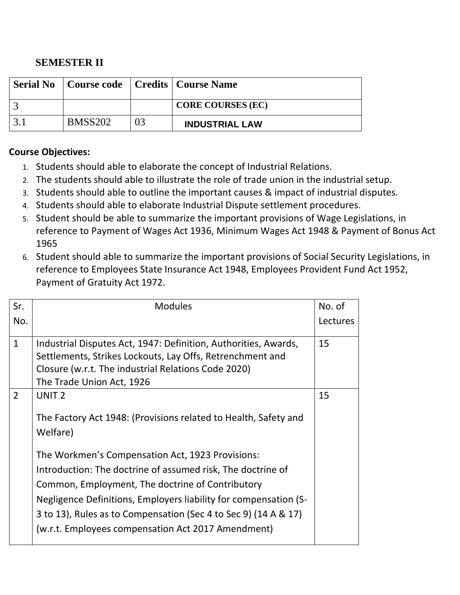# **SEMESTER II**

| <b>Serial No</b>   Course code   Credits   Course Name |                          |
|--------------------------------------------------------|--------------------------|
|                                                        | <b>CORE COURSES (EC)</b> |
| <b>BMSS202</b>                                         | <b>INDUSTRIAL LAW</b>    |

### **Course Objectives:**

- 1. Students should able to elaborate the concept of Industrial Relations.
- 2. The students should able to illustrate the role of trade union in the industrial setup.
- 3. Students should able to outline the important causes & impact of industrial disputes.
- 4. Students should able to elaborate Industrial Dispute settlement procedures.
- 5. Student should be able to summarize the important provisions of Wage Legislations, in reference to Payment of Wages Act 1936, Minimum Wages Act 1948 & Payment of Bonus Act 1965
- 6. Student should able to summarize the important provisions of Social Security Legislations, in reference to Employees State Insurance Act 1948, Employees Provident Fund Act 1952, Payment of Gratuity Act 1972.

| Sr.            | <b>Modules</b>                                                                                                                                                                                                                                                                                                                                                   | No. of   |
|----------------|------------------------------------------------------------------------------------------------------------------------------------------------------------------------------------------------------------------------------------------------------------------------------------------------------------------------------------------------------------------|----------|
| No.            |                                                                                                                                                                                                                                                                                                                                                                  | Lectures |
| $\mathbf{1}$   | Industrial Disputes Act, 1947: Definition, Authorities, Awards,<br>Settlements, Strikes Lockouts, Lay Offs, Retrenchment and                                                                                                                                                                                                                                     | 15       |
|                | Closure (w.r.t. The industrial Relations Code 2020)<br>The Trade Union Act, 1926                                                                                                                                                                                                                                                                                 |          |
| $\overline{2}$ | UNIT <sub>2</sub>                                                                                                                                                                                                                                                                                                                                                | 15       |
|                | The Factory Act 1948: (Provisions related to Health, Safety and<br>Welfare)                                                                                                                                                                                                                                                                                      |          |
|                | The Workmen's Compensation Act, 1923 Provisions:<br>Introduction: The doctrine of assumed risk, The doctrine of<br>Common, Employment, The doctrine of Contributory<br>Negligence Definitions, Employers liability for compensation (S-<br>3 to 13), Rules as to Compensation (Sec 4 to Sec 9) (14 A & 17)<br>(w.r.t. Employees compensation Act 2017 Amendment) |          |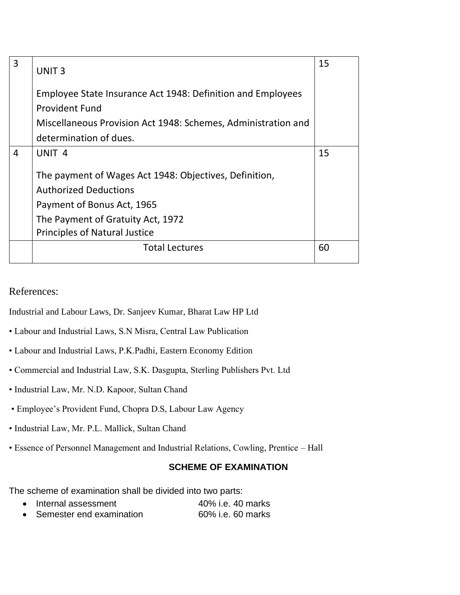| 3 | UNIT <sub>3</sub>                                                                                                                                                                                 | 15 |
|---|---------------------------------------------------------------------------------------------------------------------------------------------------------------------------------------------------|----|
|   | Employee State Insurance Act 1948: Definition and Employees                                                                                                                                       |    |
|   | <b>Provident Fund</b>                                                                                                                                                                             |    |
|   | Miscellaneous Provision Act 1948: Schemes, Administration and                                                                                                                                     |    |
|   | determination of dues.                                                                                                                                                                            |    |
| 4 | UNIT <sub>4</sub>                                                                                                                                                                                 | 15 |
|   | The payment of Wages Act 1948: Objectives, Definition,<br><b>Authorized Deductions</b><br>Payment of Bonus Act, 1965<br>The Payment of Gratuity Act, 1972<br><b>Principles of Natural Justice</b> |    |
|   | <b>Total Lectures</b>                                                                                                                                                                             | 60 |

### References:

Industrial and Labour Laws, Dr. Sanjeev Kumar, Bharat Law HP Ltd

- Labour and Industrial Laws, S.N Misra, Central Law Publication
- Labour and Industrial Laws, P.K.Padhi, Eastern Economy Edition
- Commercial and Industrial Law, S.K. Dasgupta, Sterling Publishers Pvt. Ltd
- Industrial Law, Mr. N.D. Kapoor, Sultan Chand
- Employee's Provident Fund, Chopra D.S, Labour Law Agency
- Industrial Law, Mr. P.L. Mallick, Sultan Chand
- Essence of Personnel Management and Industrial Relations, Cowling, Prentice Hall

### **SCHEME OF EXAMINATION**

The scheme of examination shall be divided into two parts:

| • Internal assessment      | 40% i.e. 40 marks |
|----------------------------|-------------------|
| • Semester end examination | 60% i.e. 60 marks |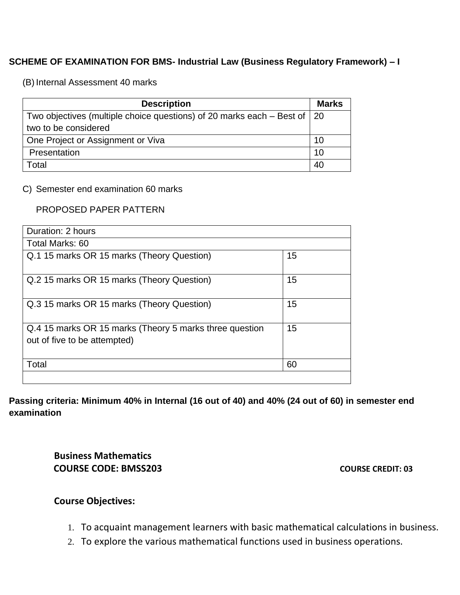### **SCHEME OF EXAMINATION FOR BMS- Industrial Law (Business Regulatory Framework) – I**

(B) Internal Assessment 40 marks

| <b>Description</b>                                                                 | <b>Marks</b> |
|------------------------------------------------------------------------------------|--------------|
| Two objectives (multiple choice questions) of 20 marks each $-$ Best of $\vert$ 20 |              |
| two to be considered                                                               |              |
| One Project or Assignment or Viva                                                  | 10           |
| Presentation                                                                       | 10           |
| Total                                                                              | 40           |

### C) Semester end examination 60 marks

### PROPOSED PAPER PATTERN

| Duration: 2 hours                                                                       |    |
|-----------------------------------------------------------------------------------------|----|
| Total Marks: 60                                                                         |    |
| Q.1 15 marks OR 15 marks (Theory Question)                                              | 15 |
| Q.2 15 marks OR 15 marks (Theory Question)                                              | 15 |
| Q.3 15 marks OR 15 marks (Theory Question)                                              | 15 |
| Q.4 15 marks OR 15 marks (Theory 5 marks three question<br>out of five to be attempted) | 15 |
| Total                                                                                   | 60 |

**Passing criteria: Minimum 40% in Internal (16 out of 40) and 40% (24 out of 60) in semester end examination** 

> **Business Mathematics COURSE CODE: BMSS203 COURSE CREDIT: 03**

### **Course Objectives:**

- 1. To acquaint management learners with basic mathematical calculations in business.
- 2. To explore the various mathematical functions used in business operations.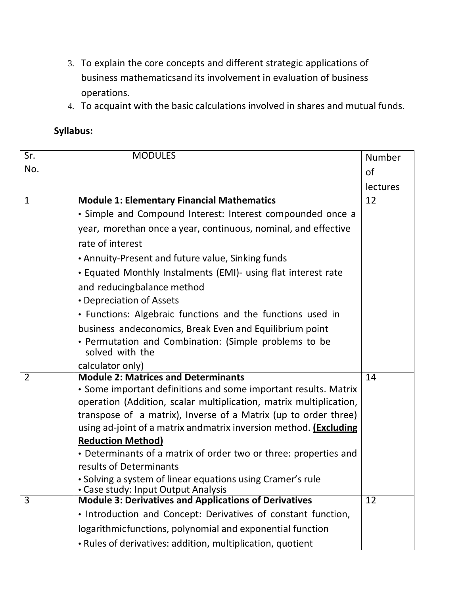- 3. To explain the core concepts and different strategic applications of business mathematicsand its involvement in evaluation of business operations.
- 4. To acquaint with the basic calculations involved in shares and mutual funds.

# **Syllabus:**

| Sr.            | <b>MODULES</b>                                                                                    | Number          |
|----------------|---------------------------------------------------------------------------------------------------|-----------------|
| No.            |                                                                                                   | <b>of</b>       |
|                |                                                                                                   | <b>lectures</b> |
| $\mathbf{1}$   | <b>Module 1: Elementary Financial Mathematics</b>                                                 | 12              |
|                | • Simple and Compound Interest: Interest compounded once a                                        |                 |
|                | year, morethan once a year, continuous, nominal, and effective                                    |                 |
|                | rate of interest                                                                                  |                 |
|                | • Annuity-Present and future value, Sinking funds                                                 |                 |
|                | • Equated Monthly Instalments (EMI)- using flat interest rate                                     |                 |
|                | and reducingbalance method                                                                        |                 |
|                | • Depreciation of Assets                                                                          |                 |
|                | • Functions: Algebraic functions and the functions used in                                        |                 |
|                | business andeconomics, Break Even and Equilibrium point                                           |                 |
|                | • Permutation and Combination: (Simple problems to be<br>solved with the                          |                 |
|                | calculator only)                                                                                  |                 |
| $\overline{2}$ | <b>Module 2: Matrices and Determinants</b>                                                        | 14              |
|                | • Some important definitions and some important results. Matrix                                   |                 |
|                | operation (Addition, scalar multiplication, matrix multiplication,                                |                 |
|                | transpose of a matrix), Inverse of a Matrix (up to order three)                                   |                 |
|                | using ad-joint of a matrix andmatrix inversion method. <b>(Excluding</b>                          |                 |
|                | <b>Reduction Method)</b>                                                                          |                 |
|                | • Determinants of a matrix of order two or three: properties and                                  |                 |
|                | results of Determinants                                                                           |                 |
|                | • Solving a system of linear equations using Cramer's rule<br>• Case study: Input Output Analysis |                 |
| 3              | <b>Module 3: Derivatives and Applications of Derivatives</b>                                      | 12              |
|                | . Introduction and Concept: Derivatives of constant function,                                     |                 |
|                | logarithmicfunctions, polynomial and exponential function                                         |                 |
|                | . Rules of derivatives: addition, multiplication, quotient                                        |                 |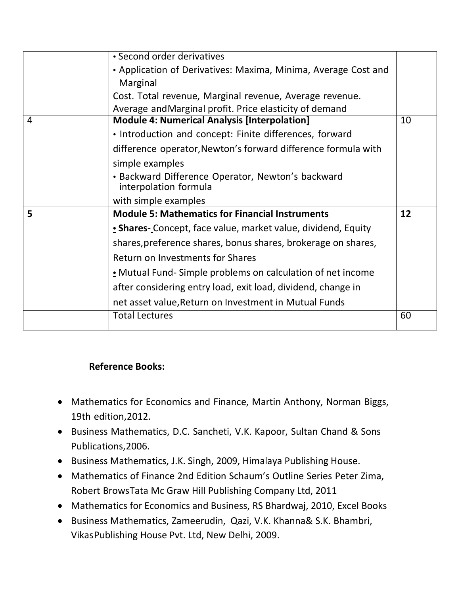|   | • Second order derivatives                                                 |    |
|---|----------------------------------------------------------------------------|----|
|   | • Application of Derivatives: Maxima, Minima, Average Cost and             |    |
|   | Marginal                                                                   |    |
|   | Cost. Total revenue, Marginal revenue, Average revenue.                    |    |
|   | Average and Marginal profit. Price elasticity of demand                    |    |
| 4 | <b>Module 4: Numerical Analysis [Interpolation]</b>                        | 10 |
|   | • Introduction and concept: Finite differences, forward                    |    |
|   | difference operator, Newton's forward difference formula with              |    |
|   | simple examples                                                            |    |
|   | • Backward Difference Operator, Newton's backward<br>interpolation formula |    |
|   | with simple examples                                                       |    |
| 5 | <b>Module 5: Mathematics for Financial Instruments</b>                     | 12 |
|   | • Shares- Concept, face value, market value, dividend, Equity              |    |
|   | shares, preference shares, bonus shares, brokerage on shares,              |    |
|   | Return on Investments for Shares                                           |    |
|   | • Mutual Fund-Simple problems on calculation of net income                 |    |
|   | after considering entry load, exit load, dividend, change in               |    |
|   | net asset value, Return on Investment in Mutual Funds                      |    |
|   | <b>Total Lectures</b>                                                      | 60 |
|   |                                                                            |    |

# **Reference Books:**

- Mathematics for Economics and Finance, Martin Anthony, Norman Biggs, 19th edition,2012.
- Business Mathematics, D.C. Sancheti, V.K. Kapoor, Sultan Chand & Sons Publications,2006.
- Business Mathematics, J.K. Singh, 2009, Himalaya Publishing House.
- Mathematics of Finance 2nd Edition Schaum's Outline Series Peter Zima, Robert BrowsTata Mc Graw Hill Publishing Company Ltd, 2011
- Mathematics for Economics and Business, RS Bhardwaj, 2010, Excel Books
- Business Mathematics, Zameerudin, Qazi, V.K. Khanna& S.K. Bhambri, VikasPublishing House Pvt. Ltd, New Delhi, 2009.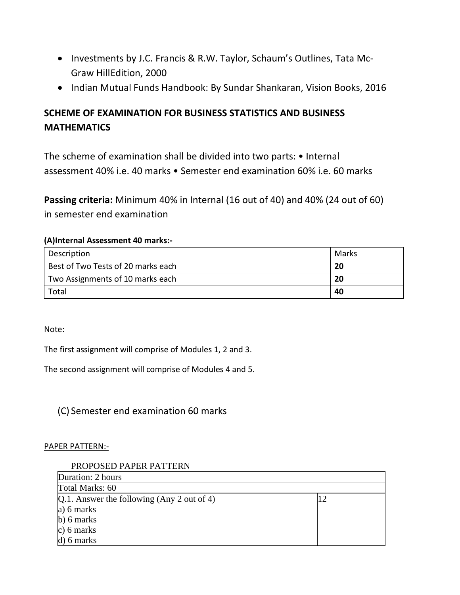- Investments by J.C. Francis & R.W. Taylor, Schaum's Outlines, Tata Mc-Graw HillEdition, 2000
- Indian Mutual Funds Handbook: By Sundar Shankaran, Vision Books, 2016

# **SCHEME OF EXAMINATION FOR BUSINESS STATISTICS AND BUSINESS MATHEMATICS**

The scheme of examination shall be divided into two parts: • Internal assessment 40% i.e. 40 marks • Semester end examination 60% i.e. 60 marks

**Passing criteria:** Minimum 40% in Internal (16 out of 40) and 40% (24 out of 60) in semester end examination

### **(A)Internal Assessment 40 marks:-**

| Description                        | Marks |
|------------------------------------|-------|
| Best of Two Tests of 20 marks each | 20    |
| Two Assignments of 10 marks each   | 20    |
| Total                              | 40    |

Note:

The first assignment will comprise of Modules 1, 2 and 3.

The second assignment will comprise of Modules 4 and 5.

(C) Semester end examination 60 marks

### PAPER PATTERN:-

### PROPOSED PAPER PATTERN

| Duration: 2 hours                             |  |
|-----------------------------------------------|--|
| Total Marks: 60                               |  |
| $[Q.1.$ Answer the following (Any 2 out of 4) |  |
| a) 6 marks                                    |  |
| $b)$ 6 marks                                  |  |
| $c)$ 6 marks                                  |  |
| $d$ ) 6 marks                                 |  |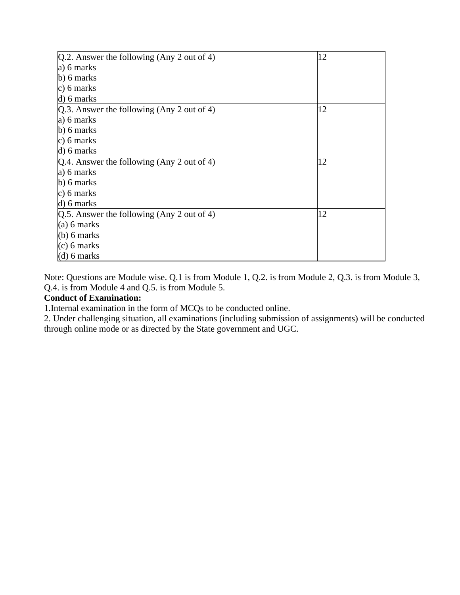| $Q.2$ . Answer the following (Any 2 out of 4) | 12 |
|-----------------------------------------------|----|
| a) 6 marks                                    |    |
| $\mathbf{b}$ ) 6 marks                        |    |
| c) 6 marks                                    |    |
| $d)$ 6 marks                                  |    |
| $[Q.3.$ Answer the following (Any 2 out of 4) | 12 |
| a) 6 marks                                    |    |
| $b)$ 6 marks                                  |    |
| c) 6 marks                                    |    |
| $d)$ 6 marks                                  |    |
| $Q.4$ . Answer the following (Any 2 out of 4) | 12 |
| a) 6 marks                                    |    |
| $\mathbf{b}$ ) 6 marks                        |    |
| c) 6 marks                                    |    |
| d) 6 marks                                    |    |
| $Q.5$ . Answer the following (Any 2 out of 4) | 12 |
| (a) 6 marks                                   |    |
| $(b)$ 6 marks                                 |    |
| $(c)$ 6 marks                                 |    |
| $(d)$ 6 marks                                 |    |

Note: Questions are Module wise. Q.1 is from Module 1, Q.2. is from Module 2, Q.3. is from Module 3, Q.4. is from Module 4 and Q.5. is from Module 5.

### **Conduct of Examination:**

1.Internal examination in the form of MCQs to be conducted online.

2. Under challenging situation, all examinations (including submission of assignments) will be conducted through online mode or as directed by the State government and UGC.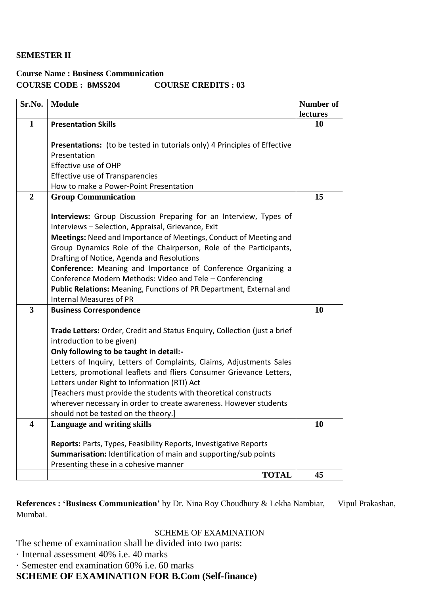### **SEMESTER II**

# **Course Name : Business Communication COURSE CODE : BMSS204 COURSE CREDITS : 03**

| Sr.No.                  | <b>Module</b>                                                             | Number of      |
|-------------------------|---------------------------------------------------------------------------|----------------|
| $\mathbf{1}$            | <b>Presentation Skills</b>                                                | lectures<br>10 |
|                         |                                                                           |                |
|                         | Presentations: (to be tested in tutorials only) 4 Principles of Effective |                |
|                         | Presentation                                                              |                |
|                         | Effective use of OHP                                                      |                |
|                         | <b>Effective use of Transparencies</b>                                    |                |
|                         | How to make a Power-Point Presentation                                    |                |
| $\overline{2}$          | <b>Group Communication</b>                                                | 15             |
|                         |                                                                           |                |
|                         | Interviews: Group Discussion Preparing for an Interview, Types of         |                |
|                         | Interviews - Selection, Appraisal, Grievance, Exit                        |                |
|                         | Meetings: Need and Importance of Meetings, Conduct of Meeting and         |                |
|                         | Group Dynamics Role of the Chairperson, Role of the Participants,         |                |
|                         | Drafting of Notice, Agenda and Resolutions                                |                |
|                         | Conference: Meaning and Importance of Conference Organizing a             |                |
|                         | Conference Modern Methods: Video and Tele - Conferencing                  |                |
|                         | Public Relations: Meaning, Functions of PR Department, External and       |                |
|                         | Internal Measures of PR                                                   |                |
| 3                       | <b>Business Correspondence</b>                                            | 10             |
|                         | Trade Letters: Order, Credit and Status Enquiry, Collection (just a brief |                |
|                         | introduction to be given)                                                 |                |
|                         | Only following to be taught in detail:-                                   |                |
|                         | Letters of Inquiry, Letters of Complaints, Claims, Adjustments Sales      |                |
|                         | Letters, promotional leaflets and fliers Consumer Grievance Letters,      |                |
|                         | Letters under Right to Information (RTI) Act                              |                |
|                         | [Teachers must provide the students with theoretical constructs           |                |
|                         | wherever necessary in order to create awareness. However students         |                |
|                         | should not be tested on the theory.]                                      |                |
| $\overline{\mathbf{4}}$ | Language and writing skills                                               | 10             |
|                         | Reports: Parts, Types, Feasibility Reports, Investigative Reports         |                |
|                         | Summarisation: Identification of main and supporting/sub points           |                |
|                         | Presenting these in a cohesive manner                                     |                |
|                         | <b>TOTAL</b>                                                              | 45             |

References : 'Business Communication' by Dr. Nina Roy Choudhury & Lekha Nambiar, Vipul Prakashan, Mumbai.

### SCHEME OF EXAMINATION

The scheme of examination shall be divided into two parts:

- · Internal assessment 40% i.e. 40 marks
- · Semester end examination 60% i.e. 60 marks

**SCHEME OF EXAMINATION FOR B.Com (Self-finance)**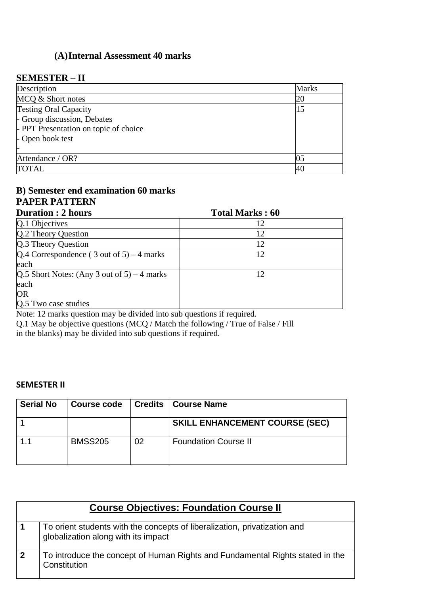# **(A)Internal Assessment 40 marks**

### **SEMESTER – II**

| Description                           | <b>Marks</b>   |
|---------------------------------------|----------------|
| MCQ & Short notes                     | 20             |
| <b>Testing Oral Capacity</b>          | 15             |
| - Group discussion, Debates           |                |
| - PPT Presentation on topic of choice |                |
| - Open book test                      |                |
|                                       |                |
| Attendance / OR?                      | 0 <sup>5</sup> |
| <b>TOTAL</b>                          | 40             |

# **B) Semester end examination 60 marks PAPER PATTERN**

| <b>Duration: 2 hours</b>                      | <b>Total Marks: 60</b> |  |
|-----------------------------------------------|------------------------|--|
| Q.1 Objectives                                | 12                     |  |
| Q.2 Theory Question                           | 12                     |  |
| Q.3 Theory Question                           | 12                     |  |
| $Q.4$ Correspondence (3 out of 5) – 4 marks   | 12                     |  |
| each                                          |                        |  |
| $Q.5$ Short Notes: (Any 3 out of 5) – 4 marks | 12                     |  |
| each                                          |                        |  |
| <b>OR</b>                                     |                        |  |
| Q.5 Two case studies                          |                        |  |

Note: 12 marks question may be divided into sub questions if required.

Q.1 May be objective questions (MCQ / Match the following / True of False / Fill in the blanks) may be divided into sub questions if required.

### **SEMESTER II**

| <b>Serial No</b> | <b>Course code</b> |    | <b>Credits   Course Name</b>          |
|------------------|--------------------|----|---------------------------------------|
|                  |                    |    | <b>SKILL ENHANCEMENT COURSE (SEC)</b> |
|                  | <b>BMSS205</b>     | 02 | <b>Foundation Course II</b>           |

|             | <b>Course Objectives: Foundation Course II</b>                                                                   |  |  |
|-------------|------------------------------------------------------------------------------------------------------------------|--|--|
|             | To orient students with the concepts of liberalization, privatization and<br>globalization along with its impact |  |  |
| $\mathbf 2$ | To introduce the concept of Human Rights and Fundamental Rights stated in the<br>Constitution                    |  |  |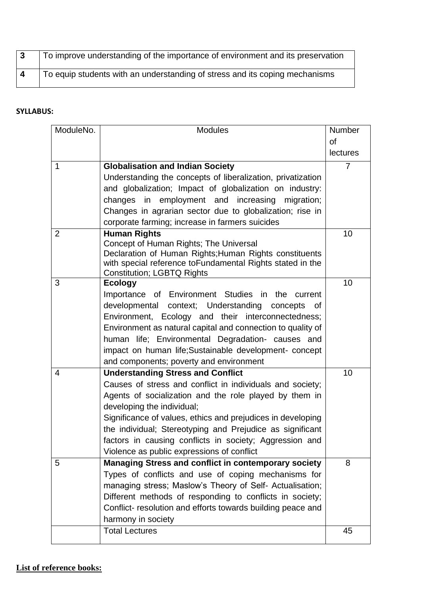| $\vert$ 3 | To improve understanding of the importance of environment and its preservation |
|-----------|--------------------------------------------------------------------------------|
|           | To equip students with an understanding of stress and its coping mechanisms    |

### **SYLLABUS:**

| ModuleNo.      | <b>Modules</b>                                                                                                      | Number         |
|----------------|---------------------------------------------------------------------------------------------------------------------|----------------|
|                |                                                                                                                     | <b>of</b>      |
|                |                                                                                                                     | lectures       |
| 1              | <b>Globalisation and Indian Society</b>                                                                             | $\overline{7}$ |
|                | Understanding the concepts of liberalization, privatization                                                         |                |
|                | and globalization; Impact of globalization on industry:                                                             |                |
|                | changes in employment and increasing<br>migration;                                                                  |                |
|                | Changes in agrarian sector due to globalization; rise in                                                            |                |
|                | corporate farming; increase in farmers suicides                                                                     |                |
| $\overline{2}$ | <b>Human Rights</b>                                                                                                 | 10             |
|                | Concept of Human Rights; The Universal                                                                              |                |
|                | Declaration of Human Rights; Human Rights constituents<br>with special reference toFundamental Rights stated in the |                |
|                | <b>Constitution; LGBTQ Rights</b>                                                                                   |                |
| 3              | <b>Ecology</b>                                                                                                      | 10             |
|                | Importance of Environment Studies in the current                                                                    |                |
|                | developmental context; Understanding<br>concepts<br>0f                                                              |                |
|                | Environment, Ecology and their interconnectedness;                                                                  |                |
|                | Environment as natural capital and connection to quality of                                                         |                |
|                | human life; Environmental Degradation- causes and                                                                   |                |
|                | impact on human life; Sustainable development- concept                                                              |                |
|                | and components; poverty and environment                                                                             |                |
| 4              | <b>Understanding Stress and Conflict</b>                                                                            | 10             |
|                | Causes of stress and conflict in individuals and society;                                                           |                |
|                | Agents of socialization and the role played by them in                                                              |                |
|                | developing the individual;                                                                                          |                |
|                | Significance of values, ethics and prejudices in developing                                                         |                |
|                | the individual; Stereotyping and Prejudice as significant                                                           |                |
|                | factors in causing conflicts in society; Aggression and                                                             |                |
| 5              | Violence as public expressions of conflict<br><b>Managing Stress and conflict in contemporary society</b>           | 8              |
|                | Types of conflicts and use of coping mechanisms for                                                                 |                |
|                | managing stress; Maslow's Theory of Self- Actualisation;                                                            |                |
|                | Different methods of responding to conflicts in society;                                                            |                |
|                | Conflict- resolution and efforts towards building peace and                                                         |                |
|                | harmony in society                                                                                                  |                |
|                | <b>Total Lectures</b>                                                                                               | 45             |
|                |                                                                                                                     |                |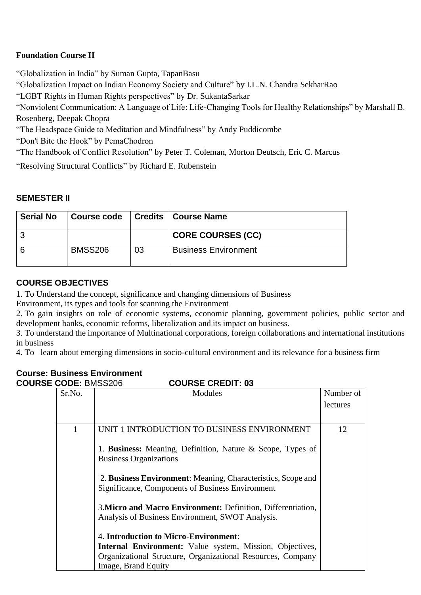### **Foundation Course II**

"Globalization in India" by Suman Gupta, TapanBasu

"Globalization Impact on Indian Economy Society and Culture" by I.L.N. Chandra SekharRao

"LGBT Rights in Human Rights perspectives" by [Dr. SukantaSarkar](https://www.amazon.in/s/ref=dp_byline_sr_book_1?ie=UTF8&field-author=Dr.+Sukanta+Sarkar&search-alias=stripbooks)

"Nonviolent Communication: A Language of Life: Life-Changing Tools for Healthy Relationships" by Marshall B. Rosenberg, Deepak Chopra

"The Headspace Guide to Meditation and Mindfulness" by [Andy Puddicombe](https://bookauthority.org/author/Andy-Puddicombe)

["Don't Bite the Hook" by PemaChodron](https://www.amazon.com/Dont-Bite-Hook-Resentment-Destructive/dp/B00BW8X5HO?tag=uuid10-20)

"The Handbook of Conflict Resolution" by Peter T. Coleman, Morton Deutsch, Eric C. Marcus

"Resolving Structural Conflicts" by Richard E. Rubenstein

### **SEMESTER II**

| <b>Serial No</b> | <b>Course code</b> |    | <b>Credits   Course Name</b> |
|------------------|--------------------|----|------------------------------|
|                  |                    |    | <b>CORE COURSES (CC)</b>     |
|                  | <b>BMSS206</b>     | 03 | <b>Business Environment</b>  |

### **COURSE OBJECTIVES**

1. To Understand the concept, significance and changing dimensions of Business

Environment, its types and tools for scanning the Environment

2. To gain insights on role of economic systems, economic planning, government policies, public sector and development banks, economic reforms, liberalization and its impact on business.

3. To understand the importance of Multinational corporations, foreign collaborations and international institutions in business

4. To learn about emerging dimensions in socio-cultural environment and its relevance for a business firm

# **Course: Business Environment**

| <b>COURSE CODE: BMSS206</b><br><b>COURSE CREDIT: 03</b> |                                                                                                                  |           |  |
|---------------------------------------------------------|------------------------------------------------------------------------------------------------------------------|-----------|--|
| Sr.No.<br>Modules                                       |                                                                                                                  | Number of |  |
|                                                         |                                                                                                                  | lectures  |  |
| 1                                                       | UNIT 1 INTRODUCTION TO BUSINESS ENVIRONMENT                                                                      | 12        |  |
|                                                         | 1. Business: Meaning, Definition, Nature & Scope, Types of<br><b>Business Organizations</b>                      |           |  |
|                                                         | 2. Business Environment: Meaning, Characteristics, Scope and<br>Significance, Components of Business Environment |           |  |
|                                                         | 3. Micro and Macro Environment: Definition, Differentiation,<br>Analysis of Business Environment, SWOT Analysis. |           |  |
|                                                         | 4. Introduction to Micro-Environment:                                                                            |           |  |
|                                                         | <b>Internal Environment:</b> Value system, Mission, Objectives,                                                  |           |  |
|                                                         | Organizational Structure, Organizational Resources, Company                                                      |           |  |
|                                                         | Image, Brand Equity                                                                                              |           |  |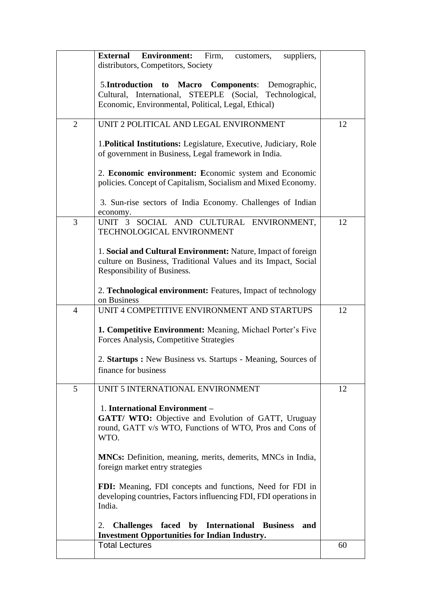|   | <b>External</b><br><b>Environment:</b><br>Firm,<br>suppliers,<br>customers,                                                                                               |    |
|---|---------------------------------------------------------------------------------------------------------------------------------------------------------------------------|----|
|   | distributors, Competitors, Society                                                                                                                                        |    |
|   | 5.Introduction to<br>Macro Components: Demographic,<br>Cultural, International, STEEPLE (Social,<br>Technological,<br>Economic, Environmental, Political, Legal, Ethical) |    |
| 2 | UNIT 2 POLITICAL AND LEGAL ENVIRONMENT                                                                                                                                    | 12 |
|   | 1. Political Institutions: Legislature, Executive, Judiciary, Role<br>of government in Business, Legal framework in India.                                                |    |
|   | 2. Economic environment: Economic system and Economic<br>policies. Concept of Capitalism, Socialism and Mixed Economy.                                                    |    |
|   | 3. Sun-rise sectors of India Economy. Challenges of Indian<br>economy.                                                                                                    |    |
| 3 | UNIT 3 SOCIAL AND CULTURAL ENVIRONMENT,<br>TECHNOLOGICAL ENVIRONMENT                                                                                                      | 12 |
|   | 1. Social and Cultural Environment: Nature, Impact of foreign<br>culture on Business, Traditional Values and its Impact, Social<br>Responsibility of Business.            |    |
|   | 2. Technological environment: Features, Impact of technology<br>on Business                                                                                               |    |
| 4 | UNIT 4 COMPETITIVE ENVIRONMENT AND STARTUPS                                                                                                                               | 12 |
|   | <b>1. Competitive Environment:</b> Meaning, Michael Porter's Five<br>Forces Analysis, Competitive Strategies                                                              |    |
|   | 2. Startups : New Business vs. Startups - Meaning, Sources of<br>finance for business                                                                                     |    |
| 5 | UNIT 5 INTERNATIONAL ENVIRONMENT                                                                                                                                          | 12 |
|   | 1. International Environment -<br>GATT/ WTO: Objective and Evolution of GATT, Uruguay<br>round, GATT v/s WTO, Functions of WTO, Pros and Cons of<br>WTO.                  |    |
|   | <b>MNCs:</b> Definition, meaning, merits, demerits, MNCs in India,<br>foreign market entry strategies                                                                     |    |
|   | FDI: Meaning, FDI concepts and functions, Need for FDI in<br>developing countries, Factors influencing FDI, FDI operations in<br>India.                                   |    |
|   | Challenges faced by International Business<br>2.<br>and<br><b>Investment Opportunities for Indian Industry.</b>                                                           |    |
|   | <b>Total Lectures</b>                                                                                                                                                     | 60 |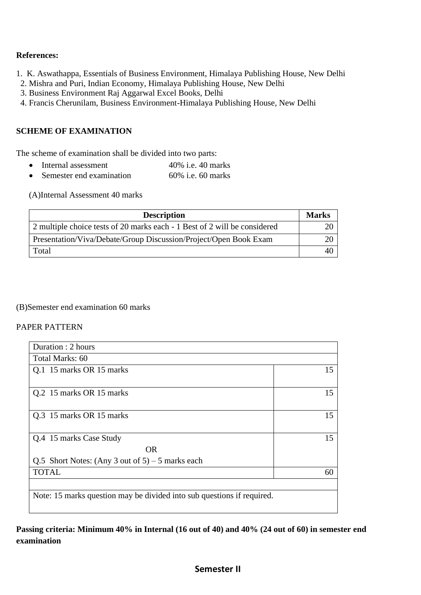### **References:**

- 1. K. Aswathappa, Essentials of Business Environment, Himalaya Publishing House, New Delhi
- 2. Mishra and Puri, Indian Economy, Himalaya Publishing House, New Delhi
- 3. Business Environment Raj Aggarwal Excel Books, Delhi
- 4. Francis Cherunilam, Business Environment-Himalaya Publishing House, New Delhi

### **SCHEME OF EXAMINATION**

The scheme of examination shall be divided into two parts:

- Internal assessment 40% i.e. 40 marks
- Semester end examination 60% i.e. 60 marks

(A)Internal Assessment 40 marks

| <b>Description</b>                                                        | <b>Marks</b> |
|---------------------------------------------------------------------------|--------------|
| 2 multiple choice tests of 20 marks each - 1 Best of 2 will be considered |              |
| Presentation/Viva/Debate/Group Discussion/Project/Open Book Exam          |              |
| Total                                                                     |              |

### (B)Semester end examination 60 marks

#### PAPER PATTERN

| Duration : 2 hours                                                     |    |  |
|------------------------------------------------------------------------|----|--|
| Total Marks: 60                                                        |    |  |
| Q.1 15 marks OR 15 marks                                               | 15 |  |
|                                                                        |    |  |
| Q.2 15 marks OR 15 marks                                               | 15 |  |
|                                                                        |    |  |
| Q.3 15 marks OR 15 marks                                               | 15 |  |
|                                                                        |    |  |
| Q.4 15 marks Case Study                                                | 15 |  |
| <b>OR</b>                                                              |    |  |
| Q.5 Short Notes: (Any 3 out of $5$ ) – 5 marks each                    |    |  |
| <b>TOTAL</b>                                                           | 60 |  |
|                                                                        |    |  |
| Note: 15 marks question may be divided into sub questions if required. |    |  |
|                                                                        |    |  |

**Passing criteria: Minimum 40% in Internal (16 out of 40) and 40% (24 out of 60) in semester end examination** 

### **Semester II**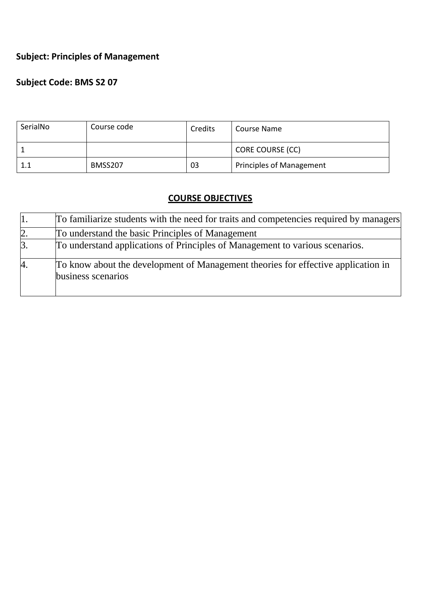# **Subject: Principles of Management**

# **Subject Code: BMS S2 07**

| SerialNo | Course code | Credits | Course Name                     |
|----------|-------------|---------|---------------------------------|
|          |             |         | CORE COURSE (CC)                |
| $1.1\,$  | BMSS207     | 03      | <b>Principles of Management</b> |

# **COURSE OBJECTIVES**

| '1. | To familiarize students with the need for traits and competencies required by managers                  |
|-----|---------------------------------------------------------------------------------------------------------|
| 2.  | To understand the basic Principles of Management                                                        |
| 3.  | To understand applications of Principles of Management to various scenarios.                            |
| 4.  | To know about the development of Management theories for effective application in<br>business scenarios |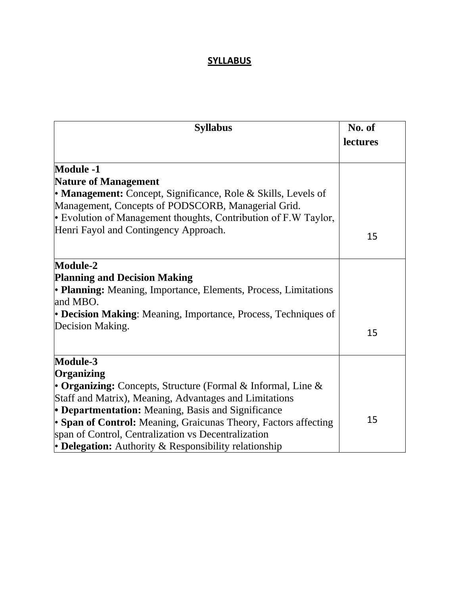## **SYLLABUS**

| <b>Syllabus</b>                                                             | No. of   |
|-----------------------------------------------------------------------------|----------|
|                                                                             | lectures |
| <b>Module -1</b>                                                            |          |
| <b>Nature of Management</b>                                                 |          |
| • Management: Concept, Significance, Role & Skills, Levels of               |          |
| Management, Concepts of PODSCORB, Managerial Grid.                          |          |
| Evolution of Management thoughts, Contribution of $F.W$ Taylor,             |          |
| Henri Fayol and Contingency Approach.                                       | 15       |
| Module-2                                                                    |          |
| <b>Planning and Decision Making</b>                                         |          |
| • Planning: Meaning, Importance, Elements, Process, Limitations<br>and MBO. |          |
| • Decision Making: Meaning, Importance, Process, Techniques of              |          |
| Decision Making.                                                            | 15       |
| Module-3                                                                    |          |
| Organizing                                                                  |          |
| • Organizing: Concepts, Structure (Formal $\&$ Informal, Line $\&$          |          |
| Staff and Matrix), Meaning, Advantages and Limitations                      |          |
| • Departmentation: Meaning, Basis and Significance                          | 15       |
| • Span of Control: Meaning, Graicunas Theory, Factors affecting             |          |
| span of Control, Centralization vs Decentralization                         |          |
| • Delegation: Authority & Responsibility relationship                       |          |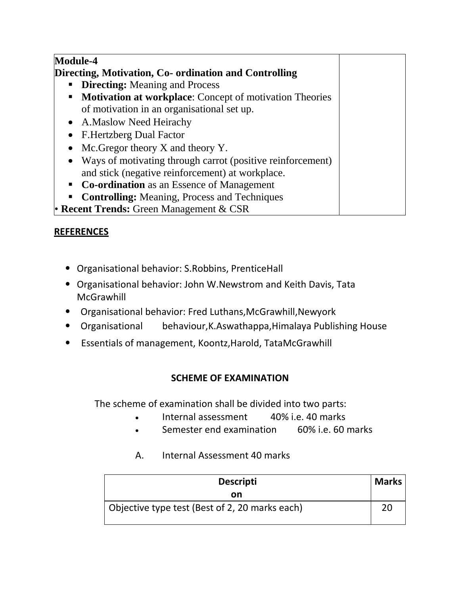| <b>Module-4</b>                                                         |  |
|-------------------------------------------------------------------------|--|
| Directing, Motivation, Co- ordination and Controlling                   |  |
| <b>Directing:</b> Meaning and Process<br>$\blacksquare$                 |  |
| Motivation at workplace: Concept of motivation Theories<br>п            |  |
| of motivation in an organisational set up.                              |  |
| • A.Maslow Need Heirachy                                                |  |
| <b>F.Hertzberg Dual Factor</b>                                          |  |
| Mc. Gregor theory $X$ and theory $Y$ .<br>$\bullet$                     |  |
| Ways of motivating through carrot (positive reinforcement)<br>$\bullet$ |  |
| and stick (negative reinforcement) at workplace.                        |  |
| <b>Co-ordination</b> as an Essence of Management<br>$\blacksquare$      |  |
| <b>Controlling:</b> Meaning, Process and Techniques<br>п                |  |
| • Recent Trends: Green Management $& CSR$                               |  |

# **REFERENCES**

- Organisational behavior: S.Robbins, PrenticeHall
- Organisational behavior: John W.Newstrom and Keith Davis, Tata **McGrawhill**
- Organisational behavior: Fred Luthans,McGrawhill,Newyork
- Organisational behaviour,K.Aswathappa,Himalaya Publishing House
- Essentials of management, Koontz,Harold, TataMcGrawhill

### **SCHEME OF EXAMINATION**

The scheme of examination shall be divided into two parts:

- Internal assessment 40% i.e. 40 marks
- Semester end examination 60% i.e. 60 marks

# A. Internal Assessment 40 marks

| <b>Descripti</b>                               | <b>Marks</b> |
|------------------------------------------------|--------------|
| on                                             |              |
| Objective type test (Best of 2, 20 marks each) | 20           |